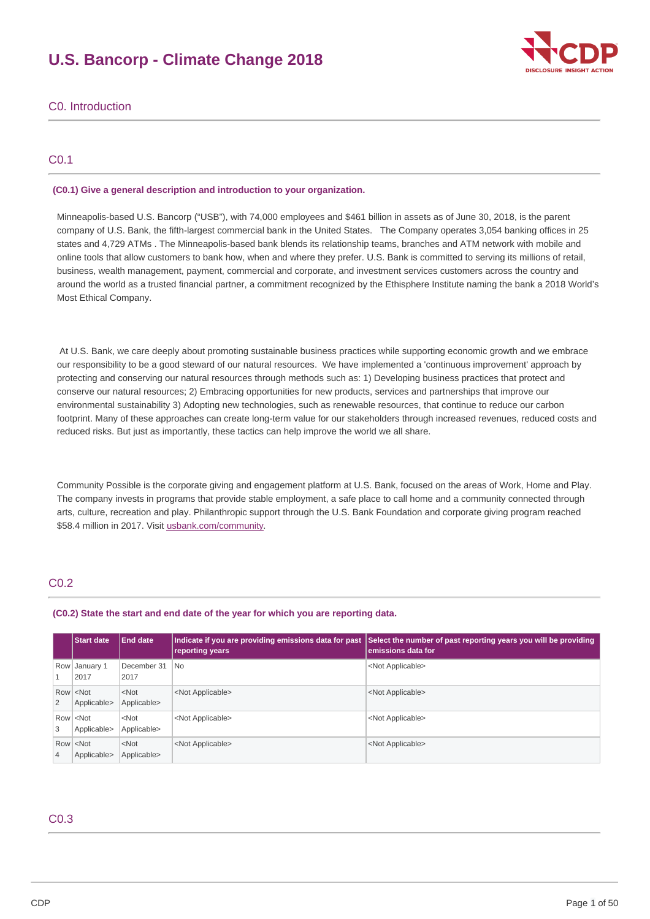# **U.S. Bancorp - Climate Change 2018**



# C0. Introduction

# C0.1

### **(C0.1) Give a general description and introduction to your organization.**

 Minneapolis-based U.S. Bancorp ("USB"), with 74,000 employees and \$461 billion in assets as of June 30, 2018, is the parent company of U.S. Bank, the fifth-largest commercial bank in the United States. The Company operates 3,054 banking offices in 25 states and 4,729 ATMs . The Minneapolis-based bank blends its relationship teams, branches and ATM network with mobile and online tools that allow customers to bank how, when and where they prefer. U.S. Bank is committed to serving its millions of retail, business, wealth management, payment, commercial and corporate, and investment services customers across the country and around the world as a trusted financial partner, a commitment recognized by the Ethisphere Institute naming the bank a 2018 World's Most Ethical Company.

 At U.S. Bank, we care deeply about promoting sustainable business practices while supporting economic growth and we embrace our responsibility to be a good steward of our natural resources. We have implemented a 'continuous improvement' approach by protecting and conserving our natural resources through methods such as: 1) Developing business practices that protect and conserve our natural resources; 2) Embracing opportunities for new products, services and partnerships that improve our environmental sustainability 3) Adopting new technologies, such as renewable resources, that continue to reduce our carbon footprint. Many of these approaches can create long-term value for our stakeholders through increased revenues, reduced costs and reduced risks. But just as importantly, these tactics can help improve the world we all share.

 Community Possible is the corporate giving and engagement platform at U.S. Bank, focused on the areas of Work, Home and Play. The company invests in programs that provide stable employment, a safe place to call home and a community connected through arts, culture, recreation and play. Philanthropic support through the U.S. Bank Foundation and corporate giving program reached \$58.4 million in 2017. Visit [usbank.com/community](https://www.usbank.com/community/index.aspx).

# C0.2

#### **(C0.2) State the start and end date of the year for which you are reporting data.**

|                | <b>Start date</b>                                | <b>End date</b>        | reporting years           | Indicate if you are providing emissions data for past Select the number of past reporting years you will be providing<br>emissions data for |
|----------------|--------------------------------------------------|------------------------|---------------------------|---------------------------------------------------------------------------------------------------------------------------------------------|
| 1              | Row January 1<br>2017                            | December 31<br>2017    | <b>No</b>                 | <not applicable=""></not>                                                                                                                   |
| 2              | Row <sup> </sup> <not<br>Applicable&gt;</not<br> | $<$ Not<br>Applicable> | <not applicable=""></not> | <not applicable=""></not>                                                                                                                   |
| 3              | Row <not<br>Applicable&gt;</not<br>              | $<$ Not<br>Applicable> | <not applicable=""></not> | <not applicable=""></not>                                                                                                                   |
| $\overline{4}$ | Row <not<br>Applicable&gt;</not<br>              | $<$ Not<br>Applicable> | <not applicable=""></not> | <not applicable=""></not>                                                                                                                   |

# C0.3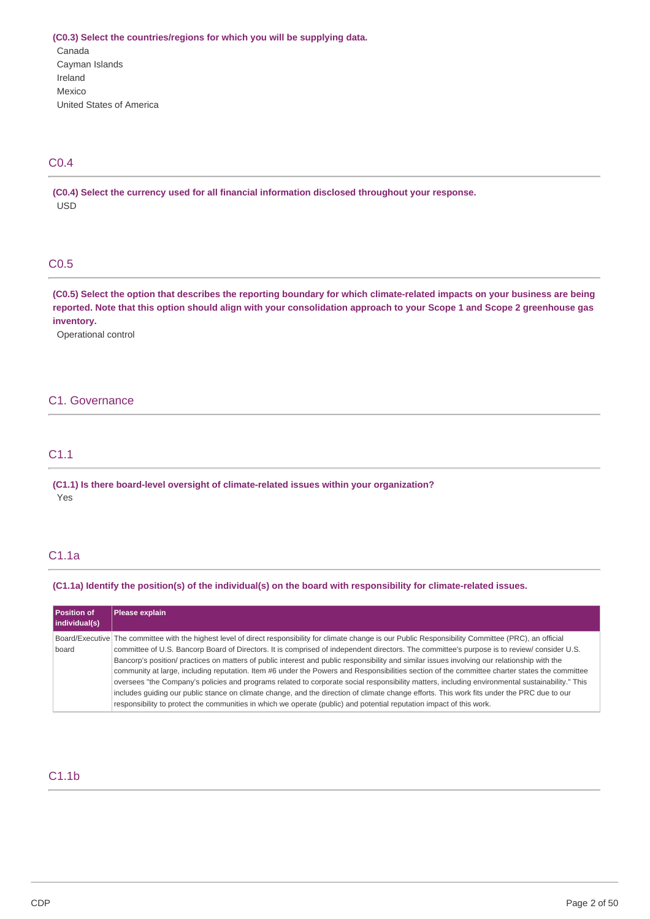**(C0.3) Select the countries/regions for which you will be supplying data.** United States of America Canada Cayman Islands Ireland Mexico

# C0.4

 **(C0.4) Select the currency used for all financial information disclosed throughout your response.** USD

# C0.5

(C0.5) Select the option that describes the reporting boundary for which climate-related impacts on your business are being reported. Note that this option should align with your consolidation approach to your Scope 1 and Scope 2 greenhouse gas **inventory.**

Operational control

# C1. Governance

# C1.1

 **(C1.1) Is there board-level oversight of climate-related issues within your organization?** Yes

# C1.1a

#### (C1.1a) Identify the position(s) of the individual(s) on the board with responsibility for climate-related issues.

| Position of<br>individual(s) | Please explain                                                                                                                                                                                                                                                                                                                                                                                                                                                                                                                                                                                                                                                                                                                                                                                                                                                                                                                                                                                                                      |
|------------------------------|-------------------------------------------------------------------------------------------------------------------------------------------------------------------------------------------------------------------------------------------------------------------------------------------------------------------------------------------------------------------------------------------------------------------------------------------------------------------------------------------------------------------------------------------------------------------------------------------------------------------------------------------------------------------------------------------------------------------------------------------------------------------------------------------------------------------------------------------------------------------------------------------------------------------------------------------------------------------------------------------------------------------------------------|
| board                        | Board/Executive The committee with the highest level of direct responsibility for climate change is our Public Responsibility Committee (PRC), an official<br>committee of U.S. Bancorp Board of Directors. It is comprised of independent directors. The committee's purpose is to review/ consider U.S.<br>Bancorp's position/ practices on matters of public interest and public responsibility and similar issues involving our relationship with the<br>community at large, including reputation. Item #6 under the Powers and Responsibilities section of the committee charter states the committee<br>oversees "the Company's policies and programs related to corporate social responsibility matters, including environmental sustainability." This<br>includes quiding our public stance on climate change, and the direction of climate change efforts. This work fits under the PRC due to our<br>responsibility to protect the communities in which we operate (public) and potential reputation impact of this work. |

# C1.1b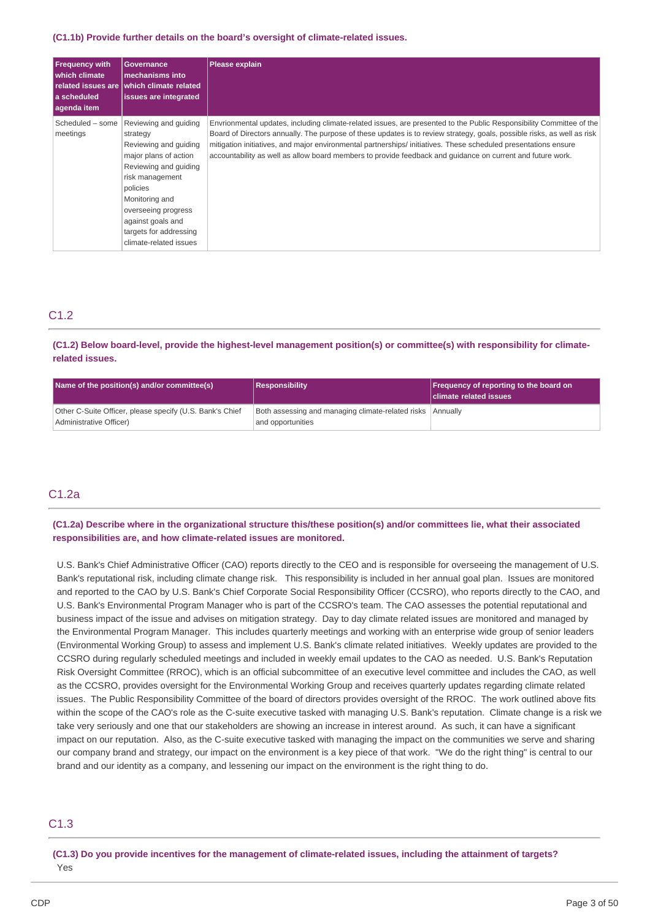#### **(C1.1b) Provide further details on the board's oversight of climate-related issues.**

| <b>Frequency with</b><br>which climate<br>l a scheduled<br>agenda item | Governance<br>mechanisms into<br>related issues are which climate related<br>issues are integrated                                                                                                                                                            | <b>Please explain</b>                                                                                                                                                                                                                                                                                                                                                                                                                                                            |
|------------------------------------------------------------------------|---------------------------------------------------------------------------------------------------------------------------------------------------------------------------------------------------------------------------------------------------------------|----------------------------------------------------------------------------------------------------------------------------------------------------------------------------------------------------------------------------------------------------------------------------------------------------------------------------------------------------------------------------------------------------------------------------------------------------------------------------------|
| Scheduled - some<br>meetings                                           | Reviewing and guiding<br>strategy<br>Reviewing and guiding<br>major plans of action<br>Reviewing and quiding<br>risk management<br>policies<br>Monitoring and<br>overseeing progress<br>against goals and<br>targets for addressing<br>climate-related issues | Envrionmental updates, including climate-related issues, are presented to the Public Responsibility Committee of the<br>Board of Directors annually. The purpose of these updates is to review strategy, goals, possible risks, as well as risk<br>mitigation initiatives, and major environmental partnerships/ initiatives. These scheduled presentations ensure<br>accountability as well as allow board members to provide feedback and quidance on current and future work. |

# C1.2

(C1.2) Below board-level, provide the highest-level management position(s) or committee(s) with responsibility for climate**related issues.**

| Name of the position(s) and/or committee(s)                                         | Responsibility                                                                  | <b>Frequency of reporting to the board on</b><br><b>Climate related issues</b> |
|-------------------------------------------------------------------------------------|---------------------------------------------------------------------------------|--------------------------------------------------------------------------------|
| Other C-Suite Officer, please specify (U.S. Bank's Chief<br>Administrative Officer) | Both assessing and managing climate-related risks Annually<br>and opportunities |                                                                                |

# C1.2a

(C1.2a) Describe where in the organizational structure this/these position(s) and/or committees lie, what their associated  **responsibilities are, and how climate-related issues are monitored.**

 U.S. Bank's Chief Administrative Officer (CAO) reports directly to the CEO and is responsible for overseeing the management of U.S. Bank's reputational risk, including climate change risk. This responsibility is included in her annual goal plan. Issues are monitored and reported to the CAO by U.S. Bank's Chief Corporate Social Responsibility Officer (CCSRO), who reports directly to the CAO, and U.S. Bank's Environmental Program Manager who is part of the CCSRO's team. The CAO assesses the potential reputational and business impact of the issue and advises on mitigation strategy. Day to day climate related issues are monitored and managed by the Environmental Program Manager. This includes quarterly meetings and working with an enterprise wide group of senior leaders (Environmental Working Group) to assess and implement U.S. Bank's climate related initiatives. Weekly updates are provided to the CCSRO during regularly scheduled meetings and included in weekly email updates to the CAO as needed. U.S. Bank's Reputation Risk Oversight Committee (RROC), which is an official subcommittee of an executive level committee and includes the CAO, as well as the CCSRO, provides oversight for the Environmental Working Group and receives quarterly updates regarding climate related issues. The Public Responsibility Committee of the board of directors provides oversight of the RROC. The work outlined above fits within the scope of the CAO's role as the C-suite executive tasked with managing U.S. Bank's reputation. Climate change is a risk we take very seriously and one that our stakeholders are showing an increase in interest around. As such, it can have a significant impact on our reputation. Also, as the C-suite executive tasked with managing the impact on the communities we serve and sharing our company brand and strategy, our impact on the environment is a key piece of that work. "We do the right thing" is central to our brand and our identity as a company, and lessening our impact on the environment is the right thing to do.

## C1.3

(C1.3) Do you provide incentives for the management of climate-related issues, including the attainment of targets? Yes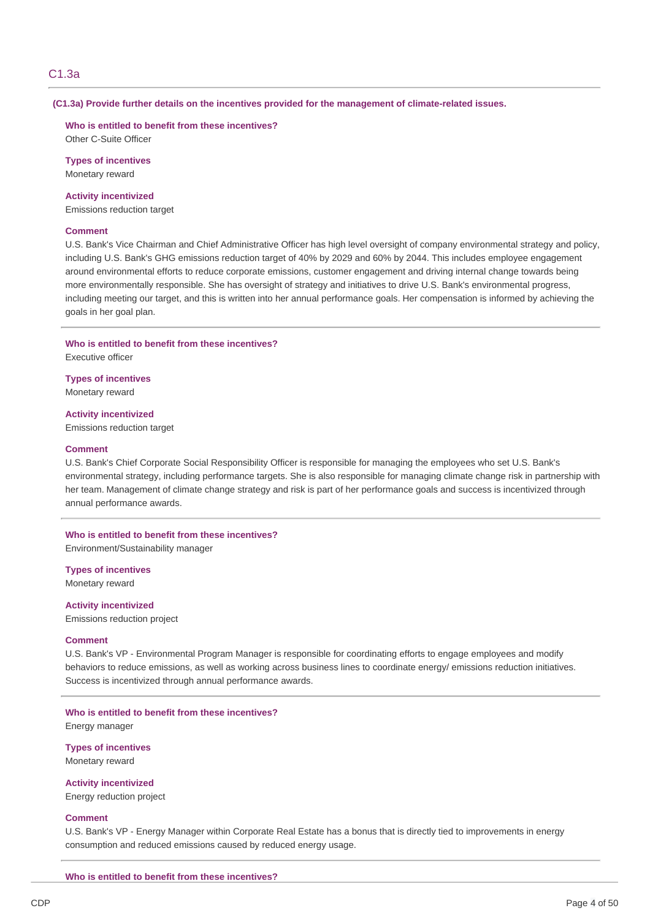### C1.3a

#### **(C1.3a) Provide further details on the incentives provided for the management of climate-related issues.**

### **Who is entitled to benefit from these incentives?**

Other C-Suite Officer

#### **Types of incentives** Monetary reward

### **Activity incentivized**

Emissions reduction target

### **Comment**

 U.S. Bank's Vice Chairman and Chief Administrative Officer has high level oversight of company environmental strategy and policy, including U.S. Bank's GHG emissions reduction target of 40% by 2029 and 60% by 2044. This includes employee engagement around environmental efforts to reduce corporate emissions, customer engagement and driving internal change towards being more environmentally responsible. She has oversight of strategy and initiatives to drive U.S. Bank's environmental progress, including meeting our target, and this is written into her annual performance goals. Her compensation is informed by achieving the goals in her goal plan.

#### **Who is entitled to benefit from these incentives?** Executive officer

 **Types of incentives** Monetary reward

 Emissions reduction target **Activity incentivized**

#### **Comment**

 U.S. Bank's Chief Corporate Social Responsibility Officer is responsible for managing the employees who set U.S. Bank's environmental strategy, including performance targets. She is also responsible for managing climate change risk in partnership with her team. Management of climate change strategy and risk is part of her performance goals and success is incentivized through annual performance awards.

### **Who is entitled to benefit from these incentives?** Environment/Sustainability manager

 **Types of incentives** Monetary reward

 Emissions reduction project **Activity incentivized**

#### **Comment**

 U.S. Bank's VP - Environmental Program Manager is responsible for coordinating efforts to engage employees and modify behaviors to reduce emissions, as well as working across business lines to coordinate energy/ emissions reduction initiatives. Success is incentivized through annual performance awards.

### **Who is entitled to benefit from these incentives?** Energy manager

 **Types of incentives**

Monetary reward **Activity incentivized**

Energy reduction project

### **Comment**

 U.S. Bank's VP - Energy Manager within Corporate Real Estate has a bonus that is directly tied to improvements in energy consumption and reduced emissions caused by reduced energy usage.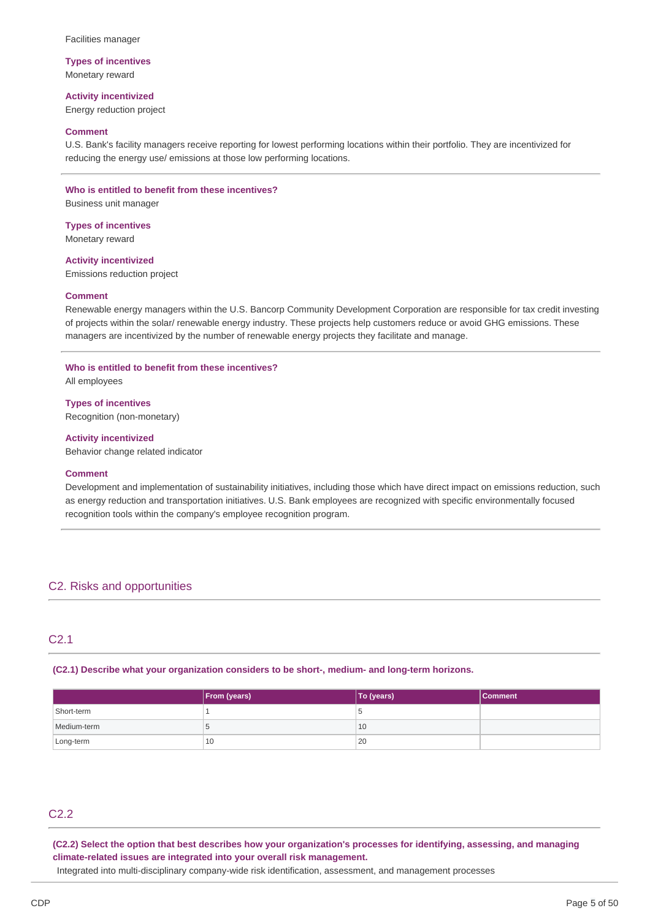### **Types of incentives** Monetary reward

# **Activity incentivized**

Energy reduction project

### **Comment**

 U.S. Bank's facility managers receive reporting for lowest performing locations within their portfolio. They are incentivized for reducing the energy use/ emissions at those low performing locations.

### **Who is entitled to benefit from these incentives?**

Business unit manager

 **Types of incentives** Monetary reward

 Emissions reduction project **Activity incentivized**

### **Comment**

 Renewable energy managers within the U.S. Bancorp Community Development Corporation are responsible for tax credit investing of projects within the solar/ renewable energy industry. These projects help customers reduce or avoid GHG emissions. These managers are incentivized by the number of renewable energy projects they facilitate and manage.

### **Who is entitled to benefit from these incentives?**

All employees

### **Types of incentives**

Recognition (non-monetary)

### **Activity incentivized**

Behavior change related indicator

#### **Comment**

 Development and implementation of sustainability initiatives, including those which have direct impact on emissions reduction, such as energy reduction and transportation initiatives. U.S. Bank employees are recognized with specific environmentally focused recognition tools within the company's employee recognition program.

# C2. Risks and opportunities

# C2.1

### **(C2.1) Describe what your organization considers to be short-, medium- and long-term horizons.**

|             | <b>From (years)</b> | To (years) | <b>Comment</b> |
|-------------|---------------------|------------|----------------|
| Short-term  |                     | w          |                |
| Medium-term | <b>A.L.</b>         | 10         |                |
| Long-term   | 10                  | 20         |                |

# C2.2

(C2.2) Select the option that best describes how your organization's processes for identifying, assessing, and managing  **climate-related issues are integrated into your overall risk management.**

Integrated into multi-disciplinary company-wide risk identification, assessment, and management processes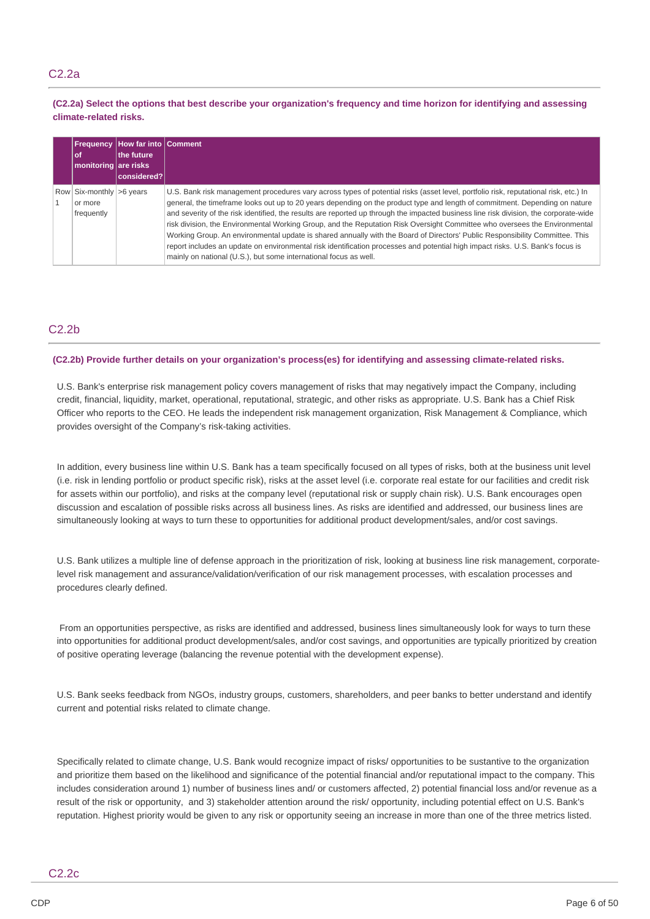# C2.2a

(C2.2a) Select the options that best describe your organization's frequency and time horizon for identifying and assessing **climate-related risks.**

| l of<br>monitoring are risks                                      | <b>Frequency How far into Comment</b><br>the future<br>considered? |                                                                                                                                                                                                                                                                                                                                                                                                                                                                                                                                                                                                                                                                                                                                                                                                                                                                                 |
|-------------------------------------------------------------------|--------------------------------------------------------------------|---------------------------------------------------------------------------------------------------------------------------------------------------------------------------------------------------------------------------------------------------------------------------------------------------------------------------------------------------------------------------------------------------------------------------------------------------------------------------------------------------------------------------------------------------------------------------------------------------------------------------------------------------------------------------------------------------------------------------------------------------------------------------------------------------------------------------------------------------------------------------------|
| Row $\vert$ Six-monthly $\vert$ >6 years<br>or more<br>frequently |                                                                    | U.S. Bank risk management procedures vary across types of potential risks (asset level, portfolio risk, reputational risk, etc.) In<br>general, the timeframe looks out up to 20 years depending on the product type and length of commitment. Depending on nature<br>and severity of the risk identified, the results are reported up through the impacted business line risk division, the corporate-wide<br>risk division, the Environmental Working Group, and the Reputation Risk Oversight Committee who oversees the Environmental<br>Working Group. An environmental update is shared annually with the Board of Directors' Public Responsibility Committee. This<br>report includes an update on environmental risk identification processes and potential high impact risks. U.S. Bank's focus is<br>mainly on national (U.S.), but some international focus as well. |

# C2.2b

### (C2.2b) Provide further details on your organization's process(es) for identifying and assessing climate-related risks.

 U.S. Bank's enterprise risk management policy covers management of risks that may negatively impact the Company, including credit, financial, liquidity, market, operational, reputational, strategic, and other risks as appropriate. U.S. Bank has a Chief Risk Officer who reports to the CEO. He leads the independent risk management organization, Risk Management & Compliance, which provides oversight of the Company's risk-taking activities.

 In addition, every business line within U.S. Bank has a team specifically focused on all types of risks, both at the business unit level (i.e. risk in lending portfolio or product specific risk), risks at the asset level (i.e. corporate real estate for our facilities and credit risk for assets within our portfolio), and risks at the company level (reputational risk or supply chain risk). U.S. Bank encourages open discussion and escalation of possible risks across all business lines. As risks are identified and addressed, our business lines are simultaneously looking at ways to turn these to opportunities for additional product development/sales, and/or cost savings.

 U.S. Bank utilizes a multiple line of defense approach in the prioritization of risk, looking at business line risk management, corporate- level risk management and assurance/validation/verification of our risk management processes, with escalation processes and procedures clearly defined.

 From an opportunities perspective, as risks are identified and addressed, business lines simultaneously look for ways to turn these into opportunities for additional product development/sales, and/or cost savings, and opportunities are typically prioritized by creation of positive operating leverage (balancing the revenue potential with the development expense).

 U.S. Bank seeks feedback from NGOs, industry groups, customers, shareholders, and peer banks to better understand and identify current and potential risks related to climate change.

 Specifically related to climate change, U.S. Bank would recognize impact of risks/ opportunities to be sustantive to the organization and prioritize them based on the likelihood and significance of the potential financial and/or reputational impact to the company. This includes consideration around 1) number of business lines and/ or customers affected, 2) potential financial loss and/or revenue as a result of the risk or opportunity, and 3) stakeholder attention around the risk/ opportunity, including potential effect on U.S. Bank's reputation. Highest priority would be given to any risk or opportunity seeing an increase in more than one of the three metrics listed.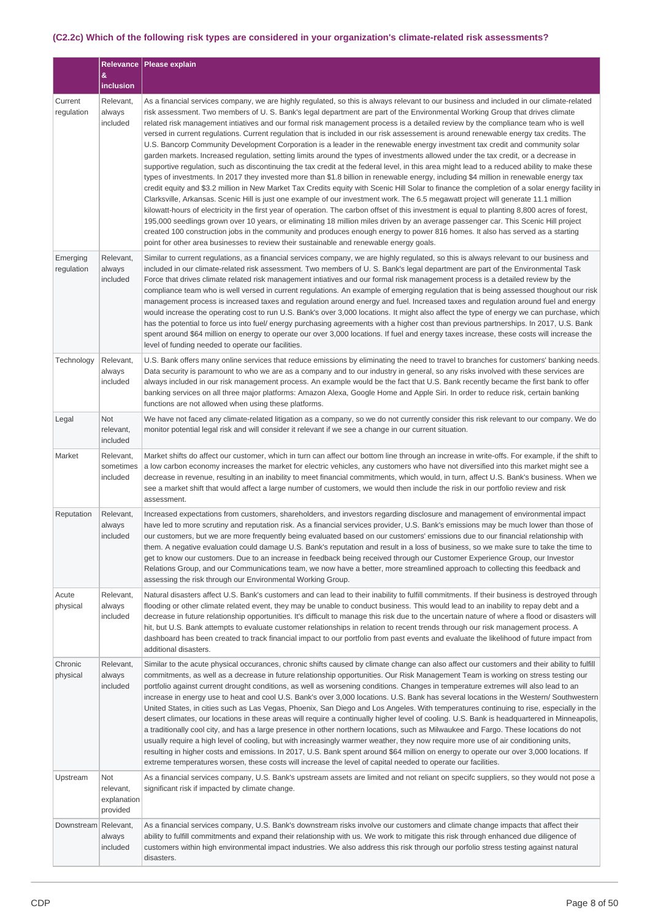#### (C2.2c) Which of the following risk types are considered in your organization's climate-related risk assessments?

|                        | &                                           | Relevance   Please explain                                                                                                                                                                                                                                                                                                                                                                                                                                                                                                                                                                                                                                                                                                                                                                                                                                                                                                                                                                                                                                                                                                                                                                                                                                                                                                                                                                                                                                                                                                                                                                                                                                                                                                                                                                                                                                                                                                               |
|------------------------|---------------------------------------------|------------------------------------------------------------------------------------------------------------------------------------------------------------------------------------------------------------------------------------------------------------------------------------------------------------------------------------------------------------------------------------------------------------------------------------------------------------------------------------------------------------------------------------------------------------------------------------------------------------------------------------------------------------------------------------------------------------------------------------------------------------------------------------------------------------------------------------------------------------------------------------------------------------------------------------------------------------------------------------------------------------------------------------------------------------------------------------------------------------------------------------------------------------------------------------------------------------------------------------------------------------------------------------------------------------------------------------------------------------------------------------------------------------------------------------------------------------------------------------------------------------------------------------------------------------------------------------------------------------------------------------------------------------------------------------------------------------------------------------------------------------------------------------------------------------------------------------------------------------------------------------------------------------------------------------------|
|                        | inclusion                                   |                                                                                                                                                                                                                                                                                                                                                                                                                                                                                                                                                                                                                                                                                                                                                                                                                                                                                                                                                                                                                                                                                                                                                                                                                                                                                                                                                                                                                                                                                                                                                                                                                                                                                                                                                                                                                                                                                                                                          |
| Current<br>regulation  | Relevant,<br>always<br>included             | As a financial services company, we are highly regulated, so this is always relevant to our business and included in our climate-related<br>risk assessment. Two members of U. S. Bank's legal department are part of the Environmental Working Group that drives climate<br>related risk management intiatives and our formal risk management process is a detailed review by the compliance team who is well<br>versed in current regulations. Current regulation that is included in our risk assessement is around renewable energy tax credits. The<br>U.S. Bancorp Community Development Corporation is a leader in the renewable energy investment tax credit and community solar<br>garden markets. Increased regulation, setting limits around the types of investments allowed under the tax credit, or a decrease in<br>supportive regulation, such as discontinuing the tax credit at the federal level, in this area might lead to a reduced ability to make these<br>types of investments. In 2017 they invested more than \$1.8 billion in renewable energy, including \$4 million in renewable energy tax<br>credit equity and \$3.2 million in New Market Tax Credits equity with Scenic Hill Solar to finance the completion of a solar energy facility in<br>Clarksville, Arkansas. Scenic Hill is just one example of our investment work. The 6.5 megawatt project will generate 11.1 million<br>kilowatt-hours of electricity in the first year of operation. The carbon offset of this investment is equal to planting 8,800 acres of forest,<br>195,000 seedlings grown over 10 years, or eliminating 18 million miles driven by an average passenger car. This Scenic Hill project<br>created 100 construction jobs in the community and produces enough energy to power 816 homes. It also has served as a starting<br>point for other area businesses to review their sustainable and renewable energy goals. |
| Emerging<br>regulation | Relevant,<br>always<br>included             | Similar to current regulations, as a financial services company, we are highly regulated, so this is always relevant to our business and<br>included in our climate-related risk assessment. Two members of U. S. Bank's legal department are part of the Environmental Task<br>Force that drives climate related risk management intiatives and our formal risk management process is a detailed review by the<br>compliance team who is well versed in current regulations. An example of emerging regulation that is being assessed thoughout our risk<br>management process is increased taxes and regulation around energy and fuel. Increased taxes and regulation around fuel and energy<br>would increase the operating cost to run U.S. Bank's over 3,000 locations. It might also affect the type of energy we can purchase, which<br>has the potential to force us into fuel/ energy purchasing agreements with a higher cost than previous partnerships. In 2017, U.S. Bank<br>spent around \$64 million on energy to operate our over 3,000 locations. If fuel and energy taxes increase, these costs will increase the<br>level of funding needed to operate our facilities.                                                                                                                                                                                                                                                                                                                                                                                                                                                                                                                                                                                                                                                                                                                                               |
| Technology             | Relevant,<br>always<br>included             | U.S. Bank offers many online services that reduce emissions by eliminating the need to travel to branches for customers' banking needs.<br>Data security is paramount to who we are as a company and to our industry in general, so any risks involved with these services are<br>always included in our risk management process. An example would be the fact that U.S. Bank recently became the first bank to offer<br>banking services on all three major platforms: Amazon Alexa, Google Home and Apple Siri. In order to reduce risk, certain banking<br>functions are not allowed when using these platforms.                                                                                                                                                                                                                                                                                                                                                                                                                                                                                                                                                                                                                                                                                                                                                                                                                                                                                                                                                                                                                                                                                                                                                                                                                                                                                                                      |
| Legal                  | Not<br>relevant,<br>included                | We have not faced any climate-related litigation as a company, so we do not currently consider this risk relevant to our company. We do<br>monitor potential legal risk and will consider it relevant if we see a change in our current situation.                                                                                                                                                                                                                                                                                                                                                                                                                                                                                                                                                                                                                                                                                                                                                                                                                                                                                                                                                                                                                                                                                                                                                                                                                                                                                                                                                                                                                                                                                                                                                                                                                                                                                       |
| Market                 | Relevant,<br>sometimes<br>included          | Market shifts do affect our customer, which in turn can affect our bottom line through an increase in write-offs. For example, if the shift to<br>a low carbon economy increases the market for electric vehicles, any customers who have not diversified into this market might see a<br>decrease in revenue, resulting in an inability to meet financial commitments, which would, in turn, affect U.S. Bank's business. When we<br>see a market shift that would affect a large number of customers, we would then include the risk in our portfolio review and risk<br>assessment.                                                                                                                                                                                                                                                                                                                                                                                                                                                                                                                                                                                                                                                                                                                                                                                                                                                                                                                                                                                                                                                                                                                                                                                                                                                                                                                                                   |
| Reputation             | Relevant,<br>always<br>included             | Increased expectations from customers, shareholders, and investors regarding disclosure and management of environmental impact<br>have led to more scrutiny and reputation risk. As a financial services provider, U.S. Bank's emissions may be much lower than those of<br>our customers, but we are more frequently being evaluated based on our customers' emissions due to our financial relationship with<br>them. A negative evaluation could damage U.S. Bank's reputation and result in a loss of business, so we make sure to take the time to<br>get to know our customers. Due to an increase in feedback being received through our Customer Experience Group, our Investor<br>Relations Group, and our Communications team, we now have a better, more streamlined approach to collecting this feedback and<br>assessing the risk through our Environmental Working Group.                                                                                                                                                                                                                                                                                                                                                                                                                                                                                                                                                                                                                                                                                                                                                                                                                                                                                                                                                                                                                                                  |
| Acute<br>physical      | Relevant,<br>always<br>included             | Natural disasters affect U.S. Bank's customers and can lead to their inability to fulfill commitments. If their business is destroyed through<br>flooding or other climate related event, they may be unable to conduct business. This would lead to an inability to repay debt and a<br>decrease in future relationship opportunities. It's difficult to manage this risk due to the uncertain nature of where a flood or disasters will<br>hit, but U.S. Bank attempts to evaluate customer relationships in relation to recent trends through our risk management process. A<br>dashboard has been created to track financial impact to our portfolio from past events and evaluate the likelihood of future impact from<br>additional disasters.                                                                                                                                                                                                                                                                                                                                                                                                                                                                                                                                                                                                                                                                                                                                                                                                                                                                                                                                                                                                                                                                                                                                                                                     |
| Chronic<br>physical    | Relevant,<br>always<br>included             | Similar to the acute physical occurances, chronic shifts caused by climate change can also affect our customers and their ability to fulfill<br>commitments, as well as a decrease in future relationship opportunities. Our Risk Management Team is working on stress testing our<br>portfolio against current drought conditions, as well as worsening conditions. Changes in temperature extremes will also lead to an<br>increase in energy use to heat and cool U.S. Bank's over 3,000 locations. U.S. Bank has several locations in the Western/ Southwestern<br>United States, in cities such as Las Vegas, Phoenix, San Diego and Los Angeles. With temperatures continuing to rise, especially in the<br>desert climates, our locations in these areas will require a continually higher level of cooling. U.S. Bank is headquartered in Minneapolis,<br>a traditionally cool city, and has a large presence in other northern locations, such as Milwaukee and Fargo. These locations do not<br>usually require a high level of cooling, but with increasingly warmer weather, they now require more use of air conditioning units,<br>resulting in higher costs and emissions. In 2017, U.S. Bank spent around \$64 million on energy to operate our over 3,000 locations. If<br>extreme temperatures worsen, these costs will increase the level of capital needed to operate our facilities.                                                                                                                                                                                                                                                                                                                                                                                                                                                                                                                                |
| Upstream               | Not<br>relevant,<br>explanation<br>provided | As a financial services company, U.S. Bank's upstream assets are limited and not reliant on specifc suppliers, so they would not pose a<br>significant risk if impacted by climate change.                                                                                                                                                                                                                                                                                                                                                                                                                                                                                                                                                                                                                                                                                                                                                                                                                                                                                                                                                                                                                                                                                                                                                                                                                                                                                                                                                                                                                                                                                                                                                                                                                                                                                                                                               |
| Downstream Relevant,   | always<br>included                          | As a financial services company, U.S. Bank's downstream risks involve our customers and climate change impacts that affect their<br>ability to fulfill commitments and expand their relationship with us. We work to mitigate this risk through enhanced due diligence of<br>customers within high environmental impact industries. We also address this risk through our porfolio stress testing against natural<br>disasters.                                                                                                                                                                                                                                                                                                                                                                                                                                                                                                                                                                                                                                                                                                                                                                                                                                                                                                                                                                                                                                                                                                                                                                                                                                                                                                                                                                                                                                                                                                          |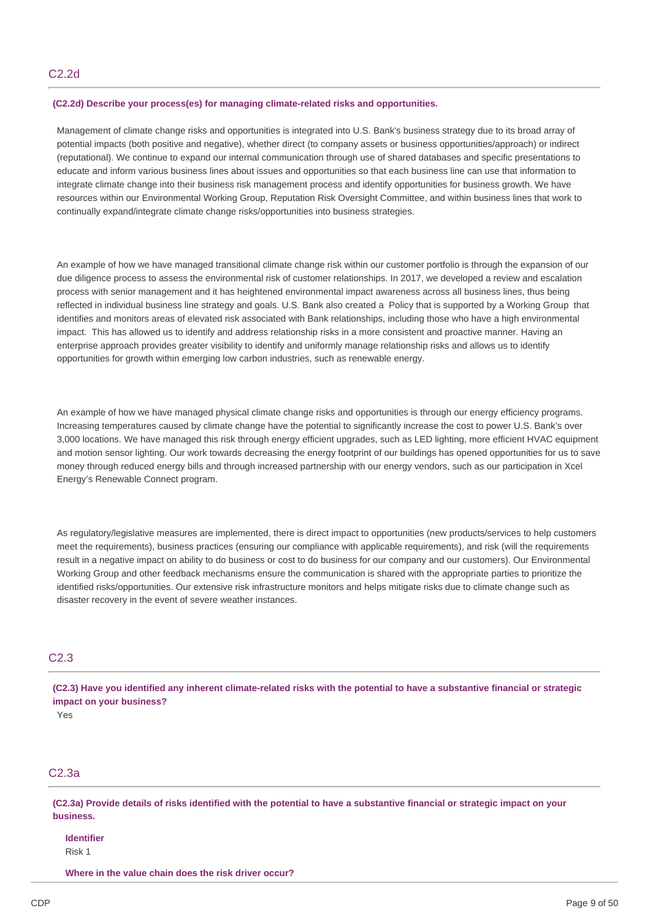### **(C2.2d) Describe your process(es) for managing climate-related risks and opportunities.**

 Management of climate change risks and opportunities is integrated into U.S. Bank's business strategy due to its broad array of potential impacts (both positive and negative), whether direct (to company assets or business opportunities/approach) or indirect (reputational). We continue to expand our internal communication through use of shared databases and specific presentations to educate and inform various business lines about issues and opportunities so that each business line can use that information to integrate climate change into their business risk management process and identify opportunities for business growth. We have resources within our Environmental Working Group, Reputation Risk Oversight Committee, and within business lines that work to continually expand/integrate climate change risks/opportunities into business strategies.

 An example of how we have managed transitional climate change risk within our customer portfolio is through the expansion of our due diligence process to assess the environmental risk of customer relationships. In 2017, we developed a review and escalation process with senior management and it has heightened environmental impact awareness across all business lines, thus being reflected in individual business line strategy and goals. U.S. Bank also created a Policy that is supported by a Working Group that identifies and monitors areas of elevated risk associated with Bank relationships, including those who have a high environmental impact. This has allowed us to identify and address relationship risks in a more consistent and proactive manner. Having an enterprise approach provides greater visibility to identify and uniformly manage relationship risks and allows us to identify opportunities for growth within emerging low carbon industries, such as renewable energy.

 An example of how we have managed physical climate change risks and opportunities is through our energy efficiency programs. Increasing temperatures caused by climate change have the potential to significantly increase the cost to power U.S. Bank's over 3,000 locations. We have managed this risk through energy efficient upgrades, such as LED lighting, more efficient HVAC equipment and motion sensor lighting. Our work towards decreasing the energy footprint of our buildings has opened opportunities for us to save money through reduced energy bills and through increased partnership with our energy vendors, such as our participation in Xcel Energy's Renewable Connect program.

 As regulatory/legislative measures are implemented, there is direct impact to opportunities (new products/services to help customers meet the requirements), business practices (ensuring our compliance with applicable requirements), and risk (will the requirements result in a negative impact on ability to do business or cost to do business for our company and our customers). Our Environmental Working Group and other feedback mechanisms ensure the communication is shared with the appropriate parties to prioritize the identified risks/opportunities. Our extensive risk infrastructure monitors and helps mitigate risks due to climate change such as disaster recovery in the event of severe weather instances.

### C2.3

(C2.3) Have you identified any inherent climate-related risks with the potential to have a substantive financial or strategic  **impact on your business?**

Yes

# C2.3a

(C2.3a) Provide details of risks identified with the potential to have a substantive financial or strategic impact on your **business.**

**Identifier** Risk 1

 **Where in the value chain does the risk driver occur?**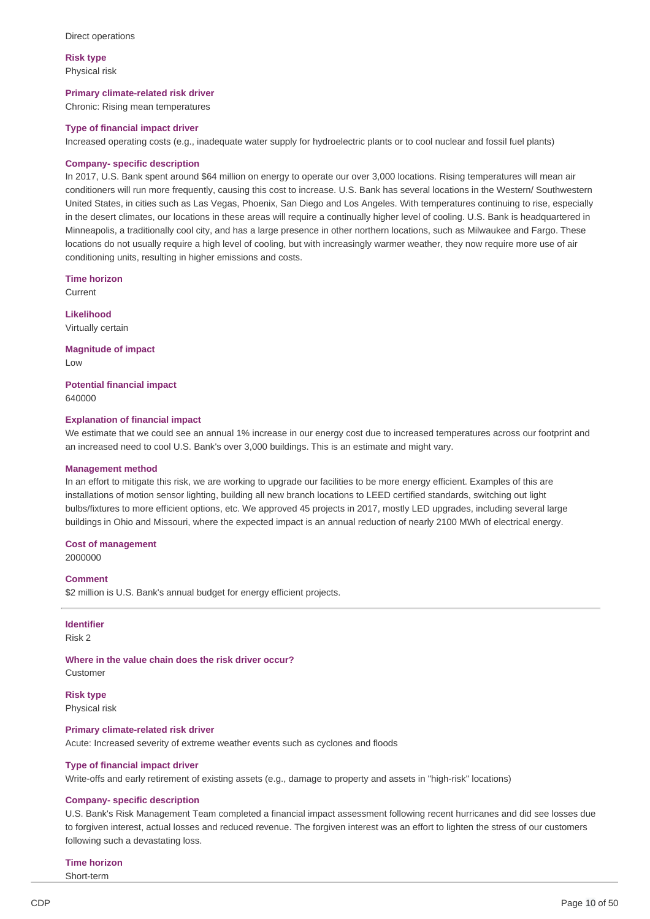**Risk type** Physical risk

### **Primary climate-related risk driver**

Chronic: Rising mean temperatures

#### **Type of financial impact driver**

Increased operating costs (e.g., inadequate water supply for hydroelectric plants or to cool nuclear and fossil fuel plants)

#### **Company- specific description**

 In 2017, U.S. Bank spent around \$64 million on energy to operate our over 3,000 locations. Rising temperatures will mean air conditioners will run more frequently, causing this cost to increase. U.S. Bank has several locations in the Western/ Southwestern United States, in cities such as Las Vegas, Phoenix, San Diego and Los Angeles. With temperatures continuing to rise, especially in the desert climates, our locations in these areas will require a continually higher level of cooling. U.S. Bank is headquartered in Minneapolis, a traditionally cool city, and has a large presence in other northern locations, such as Milwaukee and Fargo. These locations do not usually require a high level of cooling, but with increasingly warmer weather, they now require more use of air conditioning units, resulting in higher emissions and costs.

**Time horizon**

Current

**Likelihood** Virtually certain

 **Magnitude of impact** Low

 **Potential financial impact** 640000

#### **Explanation of financial impact**

 We estimate that we could see an annual 1% increase in our energy cost due to increased temperatures across our footprint and an increased need to cool U.S. Bank's over 3,000 buildings. This is an estimate and might vary.

#### **Management method**

 In an effort to mitigate this risk, we are working to upgrade our facilities to be more energy efficient. Examples of this are installations of motion sensor lighting, building all new branch locations to LEED certified standards, switching out light bulbs/fixtures to more efficient options, etc. We approved 45 projects in 2017, mostly LED upgrades, including several large buildings in Ohio and Missouri, where the expected impact is an annual reduction of nearly 2100 MWh of electrical energy.

#### **Cost of management**

2000000

### **Comment**

\$2 million is U.S. Bank's annual budget for energy efficient projects.

# **Identifier**

Risk 2

 **Where in the value chain does the risk driver occur?** Customer

**Risk type** Physical risk

#### **Primary climate-related risk driver**

Acute: Increased severity of extreme weather events such as cyclones and floods

#### **Type of financial impact driver**

Write-offs and early retirement of existing assets (e.g., damage to property and assets in "high-risk" locations)

#### **Company- specific description**

 U.S. Bank's Risk Management Team completed a financial impact assessment following recent hurricanes and did see losses due to forgiven interest, actual losses and reduced revenue. The forgiven interest was an effort to lighten the stress of our customers following such a devastating loss.

#### **Time horizon**

Short-term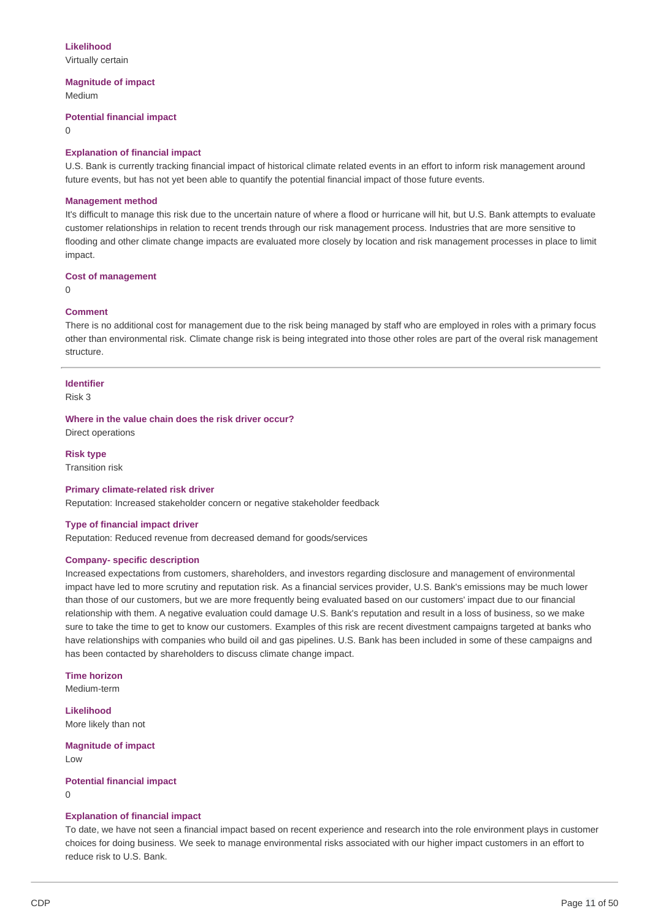### **Likelihood**

Virtually certain

### **Magnitude of impact**

Medium

### **Potential financial impact**

 $\Omega$ 

### **Explanation of financial impact**

 U.S. Bank is currently tracking financial impact of historical climate related events in an effort to inform risk management around future events, but has not yet been able to quantify the potential financial impact of those future events.

### **Management method**

 It's difficult to manage this risk due to the uncertain nature of where a flood or hurricane will hit, but U.S. Bank attempts to evaluate customer relationships in relation to recent trends through our risk management process. Industries that are more sensitive to flooding and other climate change impacts are evaluated more closely by location and risk management processes in place to limit impact.

### **Cost of management**

 $\Omega$ 

### **Comment**

 There is no additional cost for management due to the risk being managed by staff who are employed in roles with a primary focus other than environmental risk. Climate change risk is being integrated into those other roles are part of the overal risk management structure.

### **Identifier** Risk 3

### **Where in the value chain does the risk driver occur?**

Direct operations

### **Risk type**

Transition risk

### **Primary climate-related risk driver**

Reputation: Increased stakeholder concern or negative stakeholder feedback

### **Type of financial impact driver**

Reputation: Reduced revenue from decreased demand for goods/services

### **Company- specific description**

 Increased expectations from customers, shareholders, and investors regarding disclosure and management of environmental impact have led to more scrutiny and reputation risk. As a financial services provider, U.S. Bank's emissions may be much lower than those of our customers, but we are more frequently being evaluated based on our customers' impact due to our financial relationship with them. A negative evaluation could damage U.S. Bank's reputation and result in a loss of business, so we make sure to take the time to get to know our customers. Examples of this risk are recent divestment campaigns targeted at banks who have relationships with companies who build oil and gas pipelines. U.S. Bank has been included in some of these campaigns and has been contacted by shareholders to discuss climate change impact.

**Time horizon** Medium-term

 More likely than not **Likelihood**

 **Magnitude of impact** Low

### **Potential financial impact**

 $\Omega$ 

### **Explanation of financial impact**

 To date, we have not seen a financial impact based on recent experience and research into the role environment plays in customer choices for doing business. We seek to manage environmental risks associated with our higher impact customers in an effort to reduce risk to U.S. Bank.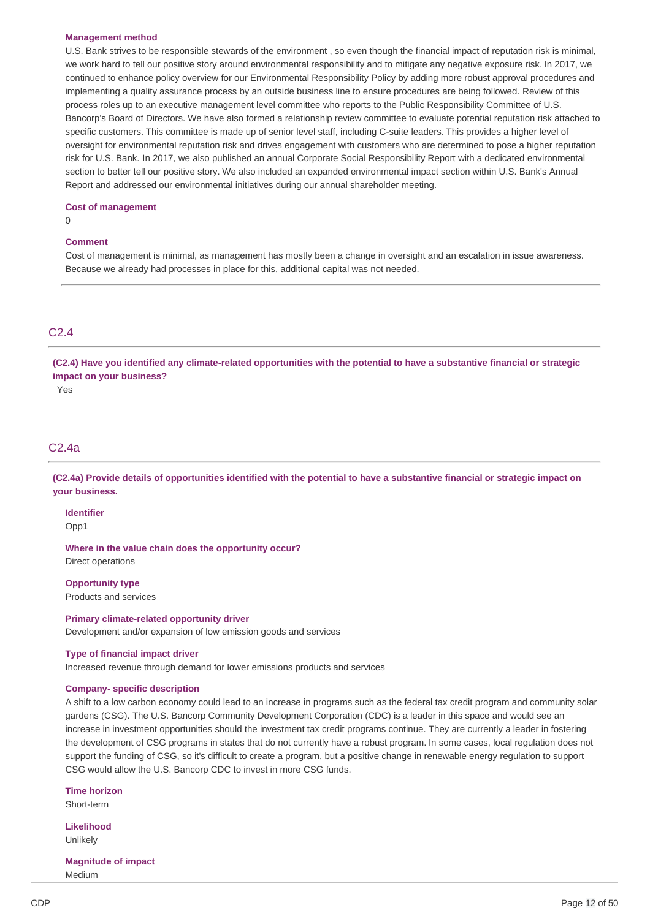#### **Management method**

 U.S. Bank strives to be responsible stewards of the environment , so even though the financial impact of reputation risk is minimal, we work hard to tell our positive story around environmental responsibility and to mitigate any negative exposure risk. In 2017, we continued to enhance policy overview for our Environmental Responsibility Policy by adding more robust approval procedures and implementing a quality assurance process by an outside business line to ensure procedures are being followed. Review of this process roles up to an executive management level committee who reports to the Public Responsibility Committee of U.S. Bancorp's Board of Directors. We have also formed a relationship review committee to evaluate potential reputation risk attached to specific customers. This committee is made up of senior level staff, including C-suite leaders. This provides a higher level of oversight for environmental reputation risk and drives engagement with customers who are determined to pose a higher reputation risk for U.S. Bank. In 2017, we also published an annual Corporate Social Responsibility Report with a dedicated environmental section to better tell our positive story. We also included an expanded environmental impact section within U.S. Bank's Annual Report and addressed our environmental initiatives during our annual shareholder meeting.

#### **Cost of management**

 $\Omega$ 

#### **Comment**

 Cost of management is minimal, as management has mostly been a change in oversight and an escalation in issue awareness. Because we already had processes in place for this, additional capital was not needed.

# C2.4

(C2.4) Have you identified any climate-related opportunities with the potential to have a substantive financial or strategic  **impact on your business?**

Yes

# C2.4a

(C2.4a) Provide details of opportunities identified with the potential to have a substantive financial or strategic impact on **your business.**

**Identifier**

Opp1

 **Where in the value chain does the opportunity occur?** Direct operations

 Products and services **Opportunity type**

 Development and/or expansion of low emission goods and services **Primary climate-related opportunity driver**

#### **Type of financial impact driver**

Increased revenue through demand for lower emissions products and services

#### **Company- specific description**

 A shift to a low carbon economy could lead to an increase in programs such as the federal tax credit program and community solar gardens (CSG). The U.S. Bancorp Community Development Corporation (CDC) is a leader in this space and would see an increase in investment opportunities should the investment tax credit programs continue. They are currently a leader in fostering the development of CSG programs in states that do not currently have a robust program. In some cases, local regulation does not support the funding of CSG, so it's difficult to create a program, but a positive change in renewable energy regulation to support CSG would allow the U.S. Bancorp CDC to invest in more CSG funds.

**Time horizon** Short-term

**Likelihood** Unlikely

 **Magnitude of impact** Medium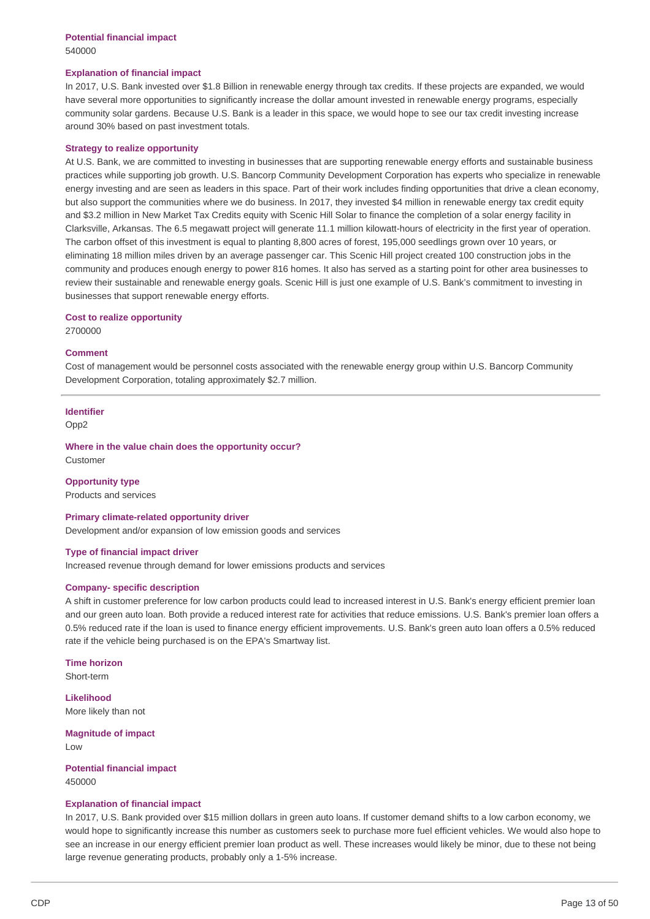### **Explanation of financial impact**

 In 2017, U.S. Bank invested over \$1.8 Billion in renewable energy through tax credits. If these projects are expanded, we would have several more opportunities to significantly increase the dollar amount invested in renewable energy programs, especially community solar gardens. Because U.S. Bank is a leader in this space, we would hope to see our tax credit investing increase around 30% based on past investment totals.

#### **Strategy to realize opportunity**

 At U.S. Bank, we are committed to investing in businesses that are supporting renewable energy efforts and sustainable business practices while supporting job growth. U.S. Bancorp Community Development Corporation has experts who specialize in renewable energy investing and are seen as leaders in this space. Part of their work includes finding opportunities that drive a clean economy, but also support the communities where we do business. In 2017, they invested \$4 million in renewable energy tax credit equity and \$3.2 million in New Market Tax Credits equity with Scenic Hill Solar to finance the completion of a solar energy facility in Clarksville, Arkansas. The 6.5 megawatt project will generate 11.1 million kilowatt-hours of electricity in the first year of operation. The carbon offset of this investment is equal to planting 8,800 acres of forest, 195,000 seedlings grown over 10 years, or eliminating 18 million miles driven by an average passenger car. This Scenic Hill project created 100 construction jobs in the community and produces enough energy to power 816 homes. It also has served as a starting point for other area businesses to review their sustainable and renewable energy goals. Scenic Hill is just one example of U.S. Bank's commitment to investing in businesses that support renewable energy efforts.

#### **Cost to realize opportunity**

2700000

### **Comment**

 Cost of management would be personnel costs associated with the renewable energy group within U.S. Bancorp Community Development Corporation, totaling approximately \$2.7 million.

### **Identifier**

Opp2

 **Where in the value chain does the opportunity occur?** Customer

#### **Opportunity type**

Products and services

#### **Primary climate-related opportunity driver**

Development and/or expansion of low emission goods and services

#### **Type of financial impact driver**

Increased revenue through demand for lower emissions products and services

#### **Company- specific description**

 A shift in customer preference for low carbon products could lead to increased interest in U.S. Bank's energy efficient premier loan and our green auto loan. Both provide a reduced interest rate for activities that reduce emissions. U.S. Bank's premier loan offers a 0.5% reduced rate if the loan is used to finance energy efficient improvements. U.S. Bank's green auto loan offers a 0.5% reduced rate if the vehicle being purchased is on the EPA's Smartway list.

**Time horizon** Short-term

 More likely than not **Likelihood**

 **Magnitude of impact** Low

### **Potential financial impact** 450000

#### **Explanation of financial impact**

 In 2017, U.S. Bank provided over \$15 million dollars in green auto loans. If customer demand shifts to a low carbon economy, we would hope to significantly increase this number as customers seek to purchase more fuel efficient vehicles. We would also hope to see an increase in our energy efficient premier loan product as well. These increases would likely be minor, due to these not being large revenue generating products, probably only a 1-5% increase.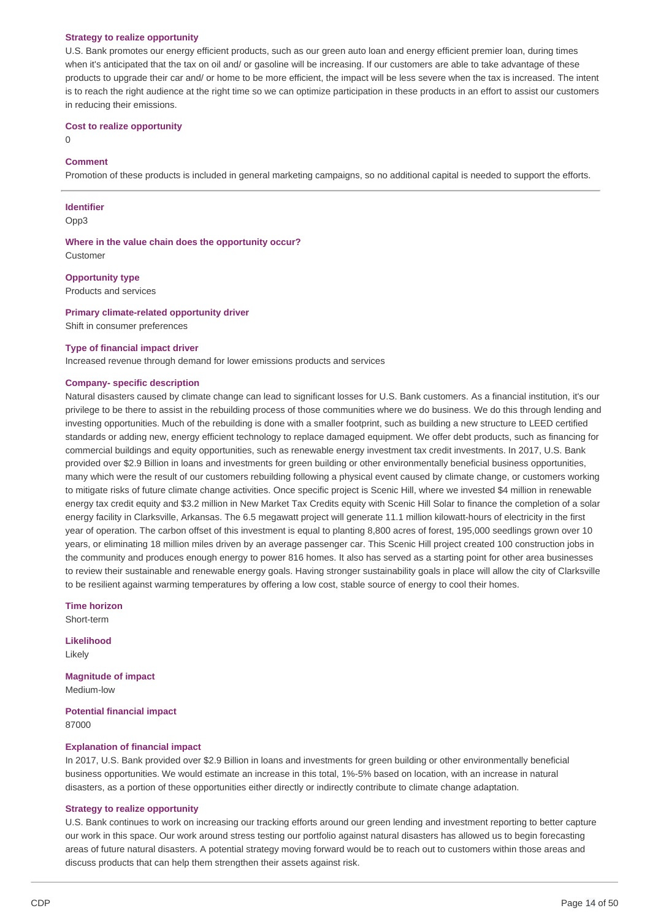#### **Strategy to realize opportunity**

 U.S. Bank promotes our energy efficient products, such as our green auto loan and energy efficient premier loan, during times when it's anticipated that the tax on oil and/ or gasoline will be increasing. If our customers are able to take advantage of these products to upgrade their car and/ or home to be more efficient, the impact will be less severe when the tax is increased. The intent is to reach the right audience at the right time so we can optimize participation in these products in an effort to assist our customers in reducing their emissions.

#### **Cost to realize opportunity**

 $\Omega$ 

### **Comment**

Promotion of these products is included in general marketing campaigns, so no additional capital is needed to support the efforts.

#### **Identifier**

Opp3

 **Where in the value chain does the opportunity occur?** Customer

 Products and services **Opportunity type**

### **Primary climate-related opportunity driver**

Shift in consumer preferences

#### **Type of financial impact driver**

Increased revenue through demand for lower emissions products and services

#### **Company- specific description**

 Natural disasters caused by climate change can lead to significant losses for U.S. Bank customers. As a financial institution, it's our privilege to be there to assist in the rebuilding process of those communities where we do business. We do this through lending and investing opportunities. Much of the rebuilding is done with a smaller footprint, such as building a new structure to LEED certified standards or adding new, energy efficient technology to replace damaged equipment. We offer debt products, such as financing for commercial buildings and equity opportunities, such as renewable energy investment tax credit investments. In 2017, U.S. Bank provided over \$2.9 Billion in loans and investments for green building or other environmentally beneficial business opportunities, many which were the result of our customers rebuilding following a physical event caused by climate change, or customers working to mitigate risks of future climate change activities. Once specific project is Scenic Hill, where we invested \$4 million in renewable energy tax credit equity and \$3.2 million in New Market Tax Credits equity with Scenic Hill Solar to finance the completion of a solar energy facility in Clarksville, Arkansas. The 6.5 megawatt project will generate 11.1 million kilowatt-hours of electricity in the first year of operation. The carbon offset of this investment is equal to planting 8,800 acres of forest, 195,000 seedlings grown over 10 years, or eliminating 18 million miles driven by an average passenger car. This Scenic Hill project created 100 construction jobs in the community and produces enough energy to power 816 homes. It also has served as a starting point for other area businesses to review their sustainable and renewable energy goals. Having stronger sustainability goals in place will allow the city of Clarksville to be resilient against warming temperatures by offering a low cost, stable source of energy to cool their homes.

**Time horizon**

Short-term

**Likelihood** Likely

 **Magnitude of impact** Medium-low

 **Potential financial impact** 87000

#### **Explanation of financial impact**

 In 2017, U.S. Bank provided over \$2.9 Billion in loans and investments for green building or other environmentally beneficial business opportunities. We would estimate an increase in this total, 1%-5% based on location, with an increase in natural disasters, as a portion of these opportunities either directly or indirectly contribute to climate change adaptation.

#### **Strategy to realize opportunity**

 U.S. Bank continues to work on increasing our tracking efforts around our green lending and investment reporting to better capture our work in this space. Our work around stress testing our portfolio against natural disasters has allowed us to begin forecasting areas of future natural disasters. A potential strategy moving forward would be to reach out to customers within those areas and discuss products that can help them strengthen their assets against risk.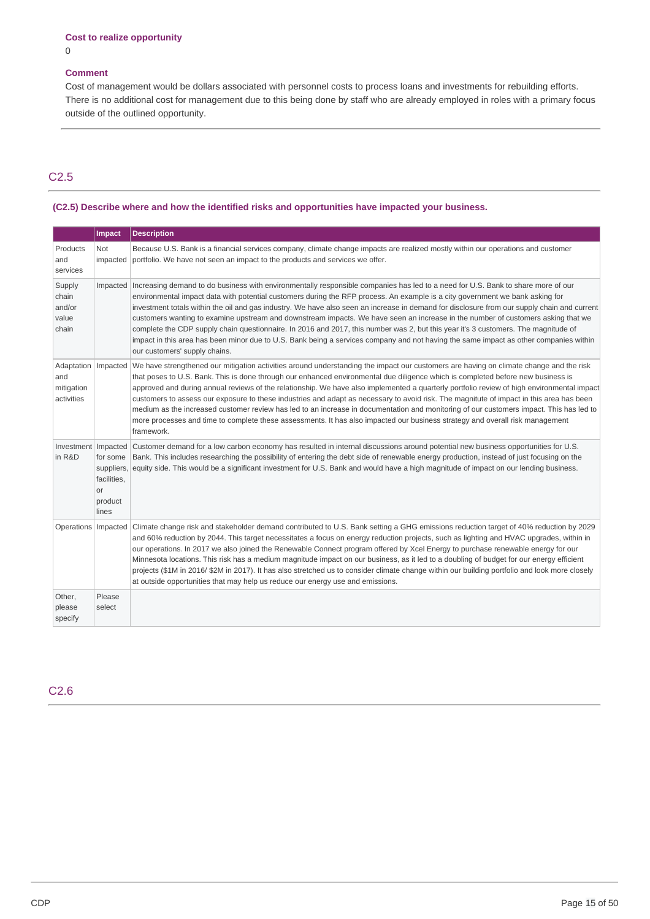### **Comment**

 Cost of management would be dollars associated with personnel costs to process loans and investments for rebuilding efforts. There is no additional cost for management due to this being done by staff who are already employed in roles with a primary focus outside of the outlined opportunity.

# C2.5

### **(C2.5) Describe where and how the identified risks and opportunities have impacted your business.**

|                                             | Impact                                            | <b>Description</b>                                                                                                                                                                                                                                                                                                                                                                                                                                                                                                                                                                                                                                                                                                                                                                                                                                                                     |
|---------------------------------------------|---------------------------------------------------|----------------------------------------------------------------------------------------------------------------------------------------------------------------------------------------------------------------------------------------------------------------------------------------------------------------------------------------------------------------------------------------------------------------------------------------------------------------------------------------------------------------------------------------------------------------------------------------------------------------------------------------------------------------------------------------------------------------------------------------------------------------------------------------------------------------------------------------------------------------------------------------|
| Products<br>and<br>services                 | <b>Not</b><br>impacted                            | Because U.S. Bank is a financial services company, climate change impacts are realized mostly within our operations and customer<br>portfolio. We have not seen an impact to the products and services we offer.                                                                                                                                                                                                                                                                                                                                                                                                                                                                                                                                                                                                                                                                       |
| Supply<br>chain<br>and/or<br>value<br>chain |                                                   | Impacted   Increasing demand to do business with environmentally responsible companies has led to a need for U.S. Bank to share more of our<br>environmental impact data with potential customers during the RFP process. An example is a city government we bank asking for<br>investment totals within the oil and gas industry. We have also seen an increase in demand for disclosure from our supply chain and current<br>customers wanting to examine upstream and downstream impacts. We have seen an increase in the number of customers asking that we<br>complete the CDP supply chain questionnaire. In 2016 and 2017, this number was 2, but this year it's 3 customers. The magnitude of<br>impact in this area has been minor due to U.S. Bank being a services company and not having the same impact as other companies within<br>our customers' supply chains.        |
| and<br>mitigation<br>activities             |                                                   | Adaptation   Impacted   We have strengthened our mitigation activities around understanding the impact our customers are having on climate change and the risk<br>that poses to U.S. Bank. This is done through our enhanced environmental due diligence which is completed before new business is<br>approved and during annual reviews of the relationship. We have also implemented a quarterly portfolio review of high environmental impact<br>customers to assess our exposure to these industries and adapt as necessary to avoid risk. The magnitute of impact in this area has been<br>medium as the increased customer review has led to an increase in documentation and monitoring of our customers impact. This has led to<br>more processes and time to complete these assessments. It has also impacted our business strategy and overall risk management<br>framework. |
| in R&D                                      | for some<br>facilities.<br>or<br>product<br>lines | Investment   Impacted   Customer demand for a low carbon economy has resulted in internal discussions around potential new business opportunities for U.S.<br>Bank. This includes researching the possibility of entering the debt side of renewable energy production, instead of just focusing on the<br>suppliers, equity side. This would be a significant investment for U.S. Bank and would have a high magnitude of impact on our lending business.                                                                                                                                                                                                                                                                                                                                                                                                                             |
|                                             |                                                   | Operations Impacted Climate change risk and stakeholder demand contributed to U.S. Bank setting a GHG emissions reduction target of 40% reduction by 2029<br>and 60% reduction by 2044. This target necessitates a focus on energy reduction projects, such as lighting and HVAC upgrades, within in<br>our operations. In 2017 we also joined the Renewable Connect program offered by Xcel Energy to purchase renewable energy for our<br>Minnesota locations. This risk has a medium magnitude impact on our business, as it led to a doubling of budget for our energy efficient<br>projects (\$1M in 2016/ \$2M in 2017). It has also stretched us to consider climate change within our building portfolio and look more closely<br>at outside opportunities that may help us reduce our energy use and emissions.                                                               |
| Other,<br>please<br>specify                 | Please<br>select                                  |                                                                                                                                                                                                                                                                                                                                                                                                                                                                                                                                                                                                                                                                                                                                                                                                                                                                                        |

C2.6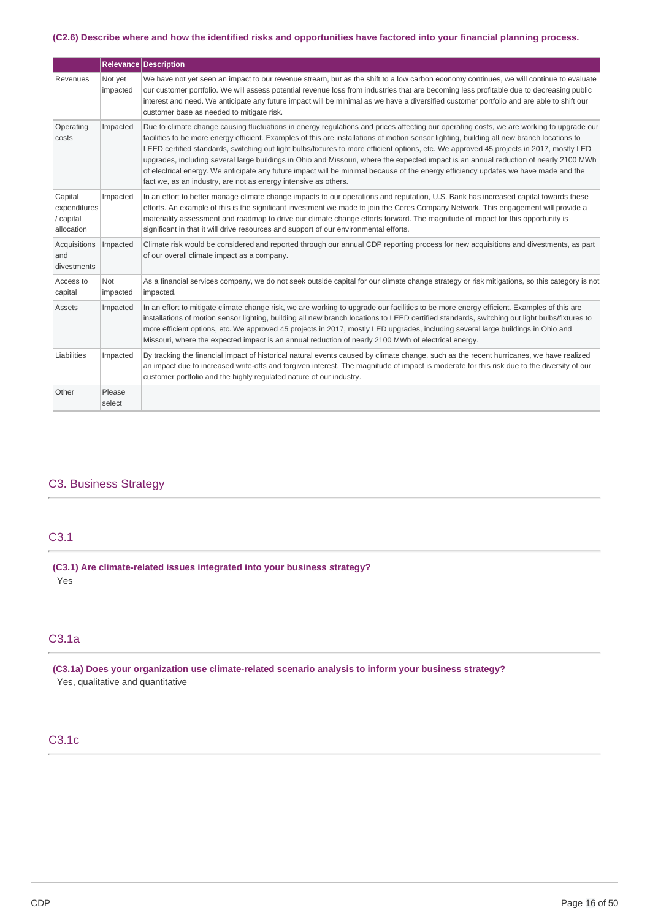#### (C2.6) Describe where and how the identified risks and opportunities have factored into your financial planning process.

|                                                    |                     | Relevance Description                                                                                                                                                                                                                                                                                                                                                                                                                                                                                                                                                                                                                                                                                                                                                                 |
|----------------------------------------------------|---------------------|---------------------------------------------------------------------------------------------------------------------------------------------------------------------------------------------------------------------------------------------------------------------------------------------------------------------------------------------------------------------------------------------------------------------------------------------------------------------------------------------------------------------------------------------------------------------------------------------------------------------------------------------------------------------------------------------------------------------------------------------------------------------------------------|
| Revenues                                           | Not yet<br>impacted | We have not yet seen an impact to our revenue stream, but as the shift to a low carbon economy continues, we will continue to evaluate<br>our customer portfolio. We will assess potential revenue loss from industries that are becoming less profitable due to decreasing public<br>interest and need. We anticipate any future impact will be minimal as we have a diversified customer portfolio and are able to shift our<br>customer base as needed to mitigate risk.                                                                                                                                                                                                                                                                                                           |
| Operating<br>costs                                 | Impacted            | Due to climate change causing fluctuations in energy regulations and prices affecting our operating costs, we are working to upgrade our<br>facilities to be more energy efficient. Examples of this are installations of motion sensor lighting, building all new branch locations to<br>LEED certified standards, switching out light bulbs/fixtures to more efficient options, etc. We approved 45 projects in 2017, mostly LED<br>upgrades, including several large buildings in Ohio and Missouri, where the expected impact is an annual reduction of nearly 2100 MWh<br>of electrical energy. We anticipate any future impact will be minimal because of the energy efficiency updates we have made and the<br>fact we, as an industry, are not as energy intensive as others. |
| Capital<br>expenditures<br>/ capital<br>allocation | Impacted            | In an effort to better manage climate change impacts to our operations and reputation, U.S. Bank has increased capital towards these<br>efforts. An example of this is the significant investment we made to join the Ceres Company Network. This engagement will provide a<br>materiality assessment and roadmap to drive our climate change efforts forward. The magnitude of impact for this opportunity is<br>significant in that it will drive resources and support of our environmental efforts.                                                                                                                                                                                                                                                                               |
| Acquisitions<br>and<br>divestments                 | Impacted            | Climate risk would be considered and reported through our annual CDP reporting process for new acquisitions and divestments, as part<br>of our overall climate impact as a company.                                                                                                                                                                                                                                                                                                                                                                                                                                                                                                                                                                                                   |
| Access to<br>capital                               | Not<br>impacted     | As a financial services company, we do not seek outside capital for our climate change strategy or risk mitigations, so this category is not<br>impacted.                                                                                                                                                                                                                                                                                                                                                                                                                                                                                                                                                                                                                             |
| <b>Assets</b>                                      | Impacted            | In an effort to mitigate climate change risk, we are working to upgrade our facilities to be more energy efficient. Examples of this are<br>installations of motion sensor lighting, building all new branch locations to LEED certified standards, switching out light bulbs/fixtures to<br>more efficient options, etc. We approved 45 projects in 2017, mostly LED upgrades, including several large buildings in Ohio and<br>Missouri, where the expected impact is an annual reduction of nearly 2100 MWh of electrical energy.                                                                                                                                                                                                                                                  |
| Liabilities                                        | Impacted            | By tracking the financial impact of historical natural events caused by climate change, such as the recent hurricanes, we have realized<br>an impact due to increased write-offs and forgiven interest. The magnitude of impact is moderate for this risk due to the diversity of our<br>customer portfolio and the highly regulated nature of our industry.                                                                                                                                                                                                                                                                                                                                                                                                                          |
| Other                                              | Please<br>select    |                                                                                                                                                                                                                                                                                                                                                                                                                                                                                                                                                                                                                                                                                                                                                                                       |

### C3. Business Strategy

# C3.1

 **(C3.1) Are climate-related issues integrated into your business strategy?** Yes

# C3.1a

 **(C3.1a) Does your organization use climate-related scenario analysis to inform your business strategy?** Yes, qualitative and quantitative

# C3.1c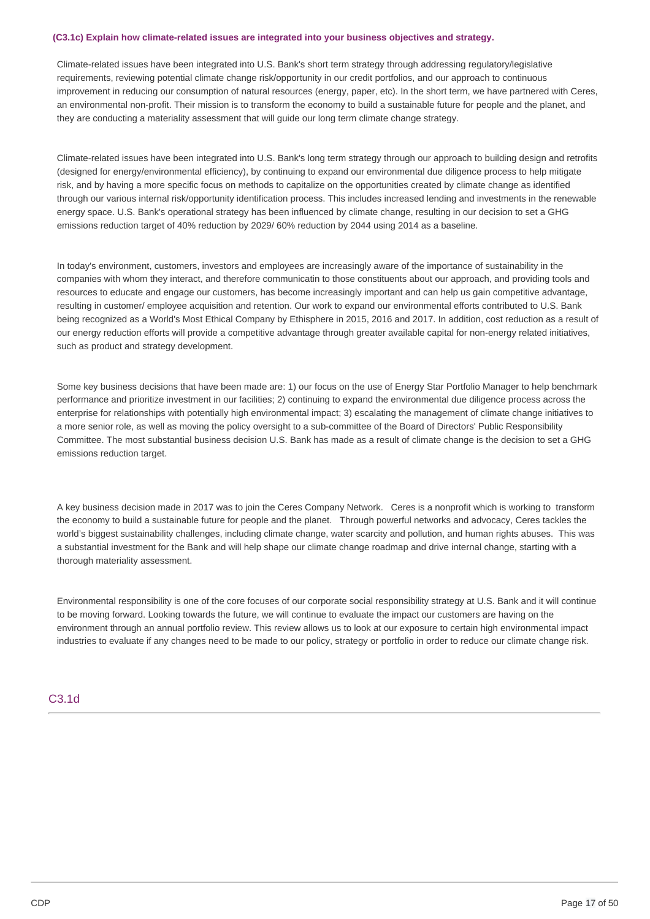#### **(C3.1c) Explain how climate-related issues are integrated into your business objectives and strategy.**

 Climate-related issues have been integrated into U.S. Bank's short term strategy through addressing regulatory/legislative requirements, reviewing potential climate change risk/opportunity in our credit portfolios, and our approach to continuous improvement in reducing our consumption of natural resources (energy, paper, etc). In the short term, we have partnered with Ceres, an environmental non-profit. Their mission is to transform the economy to build a sustainable future for people and the planet, and they are conducting a materiality assessment that will guide our long term climate change strategy.

 Climate-related issues have been integrated into U.S. Bank's long term strategy through our approach to building design and retrofits (designed for energy/environmental efficiency), by continuing to expand our environmental due diligence process to help mitigate risk, and by having a more specific focus on methods to capitalize on the opportunities created by climate change as identified through our various internal risk/opportunity identification process. This includes increased lending and investments in the renewable energy space. U.S. Bank's operational strategy has been influenced by climate change, resulting in our decision to set a GHG emissions reduction target of 40% reduction by 2029/ 60% reduction by 2044 using 2014 as a baseline.

 In today's environment, customers, investors and employees are increasingly aware of the importance of sustainability in the companies with whom they interact, and therefore communicatin to those constituents about our approach, and providing tools and resources to educate and engage our customers, has become increasingly important and can help us gain competitive advantage, resulting in customer/ employee acquisition and retention. Our work to expand our environmental efforts contributed to U.S. Bank being recognized as a World's Most Ethical Company by Ethisphere in 2015, 2016 and 2017. In addition, cost reduction as a result of our energy reduction efforts will provide a competitive advantage through greater available capital for non-energy related initiatives, such as product and strategy development.

 Some key business decisions that have been made are: 1) our focus on the use of Energy Star Portfolio Manager to help benchmark performance and prioritize investment in our facilities; 2) continuing to expand the environmental due diligence process across the enterprise for relationships with potentially high environmental impact; 3) escalating the management of climate change initiatives to a more senior role, as well as moving the policy oversight to a sub-committee of the Board of Directors' Public Responsibility Committee. The most substantial business decision U.S. Bank has made as a result of climate change is the decision to set a GHG emissions reduction target.

 A key business decision made in 2017 was to join the Ceres Company Network. Ceres is a nonprofit which is working to transform the economy to build a sustainable future for people and the planet. Through powerful networks and advocacy, Ceres tackles the world's biggest sustainability challenges, including climate change, water scarcity and pollution, and human rights abuses. This was a substantial investment for the Bank and will help shape our climate change roadmap and drive internal change, starting with a thorough materiality assessment.

 Environmental responsibility is one of the core focuses of our corporate social responsibility strategy at U.S. Bank and it will continue to be moving forward. Looking towards the future, we will continue to evaluate the impact our customers are having on the environment through an annual portfolio review. This review allows us to look at our exposure to certain high environmental impact industries to evaluate if any changes need to be made to our policy, strategy or portfolio in order to reduce our climate change risk.

### C3.1d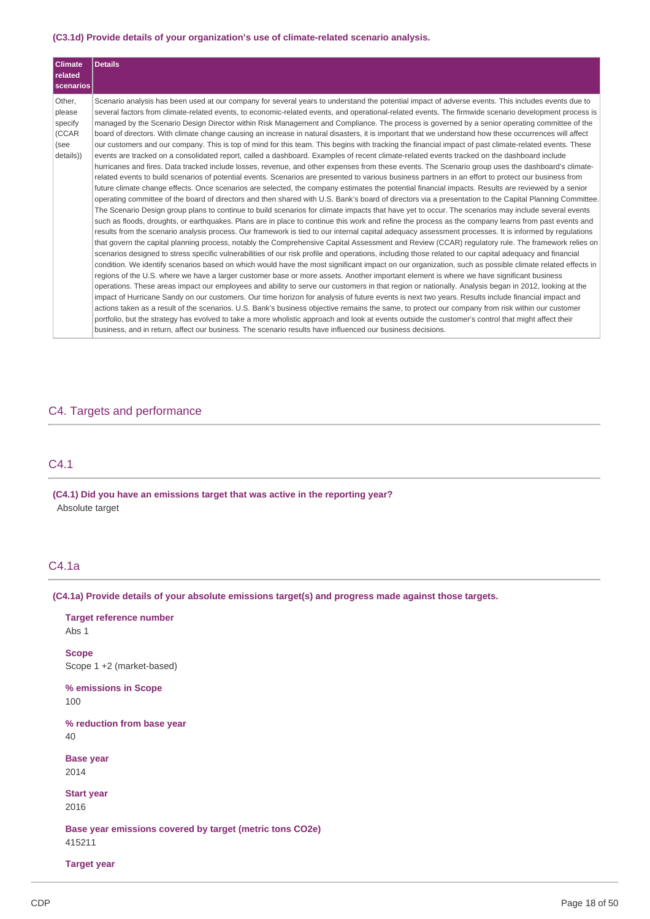#### **(C3.1d) Provide details of your organization's use of climate-related scenario analysis.**

| <b>Climate</b><br>related<br>  scenarios                  | <b>Details</b>                                                                                                                                                                                                                                                                                                                                                                                                                                                                                                                                                                                                                                                                                                                                                                                                                                                                                                                                                                                                                                                                                                                                                                                                                                                                                                                                                                                                                                                                                                                                                                                                                                                                                                                                                                                                                                                                                                                                                                                                                                                                                                                                                                                                                                                                                                                                                                                                                                                                                                                                                                                                                                                                                                                                                                                                                                                                                                                                                                                                                                                                                                                                                                                                                                                                                                                                                                                           |
|-----------------------------------------------------------|----------------------------------------------------------------------------------------------------------------------------------------------------------------------------------------------------------------------------------------------------------------------------------------------------------------------------------------------------------------------------------------------------------------------------------------------------------------------------------------------------------------------------------------------------------------------------------------------------------------------------------------------------------------------------------------------------------------------------------------------------------------------------------------------------------------------------------------------------------------------------------------------------------------------------------------------------------------------------------------------------------------------------------------------------------------------------------------------------------------------------------------------------------------------------------------------------------------------------------------------------------------------------------------------------------------------------------------------------------------------------------------------------------------------------------------------------------------------------------------------------------------------------------------------------------------------------------------------------------------------------------------------------------------------------------------------------------------------------------------------------------------------------------------------------------------------------------------------------------------------------------------------------------------------------------------------------------------------------------------------------------------------------------------------------------------------------------------------------------------------------------------------------------------------------------------------------------------------------------------------------------------------------------------------------------------------------------------------------------------------------------------------------------------------------------------------------------------------------------------------------------------------------------------------------------------------------------------------------------------------------------------------------------------------------------------------------------------------------------------------------------------------------------------------------------------------------------------------------------------------------------------------------------------------------------------------------------------------------------------------------------------------------------------------------------------------------------------------------------------------------------------------------------------------------------------------------------------------------------------------------------------------------------------------------------------------------------------------------------------------------------------------------------|
| Other,<br>please<br>specify<br>(CCAR<br>(see<br>details)) | Scenario analysis has been used at our company for several years to understand the potential impact of adverse events. This includes events due to<br>several factors from climate-related events, to economic-related events, and operational-related events. The firmwide scenario development process is<br>managed by the Scenario Design Director within Risk Management and Compliance. The process is governed by a senior operating committee of the<br>board of directors. With climate change causing an increase in natural disasters, it is important that we understand how these occurrences will affect<br>our customers and our company. This is top of mind for this team. This begins with tracking the financial impact of past climate-related events. These<br>events are tracked on a consolidated report, called a dashboard. Examples of recent climate-related events tracked on the dashboard include<br>hurricanes and fires. Data tracked include losses, revenue, and other expenses from these events. The Scenario group uses the dashboard's climate-<br>related events to build scenarios of potential events. Scenarios are presented to various business partners in an effort to protect our business from<br>future climate change effects. Once scenarios are selected, the company estimates the potential financial impacts. Results are reviewed by a senior<br>operating committee of the board of directors and then shared with U.S. Bank's board of directors via a presentation to the Capital Planning Committee.<br>The Scenario Design group plans to continue to build scenarios for climate impacts that have yet to occur. The scenarios may include several events<br>such as floods, droughts, or earthquakes. Plans are in place to continue this work and refine the process as the company learns from past events and<br>results from the scenario analysis process. Our framework is tied to our internal capital adequacy assessment processes. It is informed by regulations<br>that govern the capital planning process, notably the Comprehensive Capital Assessment and Review (CCAR) regulatory rule. The framework relies on<br>scenarios designed to stress specific vulnerabilities of our risk profile and operations, including those related to our capital adequacy and financial<br>condition. We identify scenarios based on which would have the most significant impact on our organization, such as possible climate related effects in<br>regions of the U.S. where we have a larger customer base or more assets. Another important element is where we have significant business<br>operations. These areas impact our employees and ability to serve our customers in that region or nationally. Analysis began in 2012, looking at the<br>impact of Hurricane Sandy on our customers. Our time horizon for analysis of future events is next two years. Results include financial impact and<br>actions taken as a result of the scenarios. U.S. Bank's business objective remains the same, to protect our company from risk within our customer<br>portfolio, but the strategy has evolved to take a more wholistic approach and look at events outside the customer's control that might affect their<br>business, and in return, affect our business. The scenario results have influenced our business decisions. |

### C4. Targets and performance

# C4.1

 **(C4.1) Did you have an emissions target that was active in the reporting year?** Absolute target

# C4.1a

#### **(C4.1a) Provide details of your absolute emissions target(s) and progress made against those targets.**

 **Target reference number** Abs 1

 Scope 1 +2 (market-based) **Scope**

 **% emissions in Scope** 100

 **% reduction from base year** 40

**Base year** 2014

**Start year** 2016

 **Base year emissions covered by target (metric tons CO2e)** 415211

### **Target year**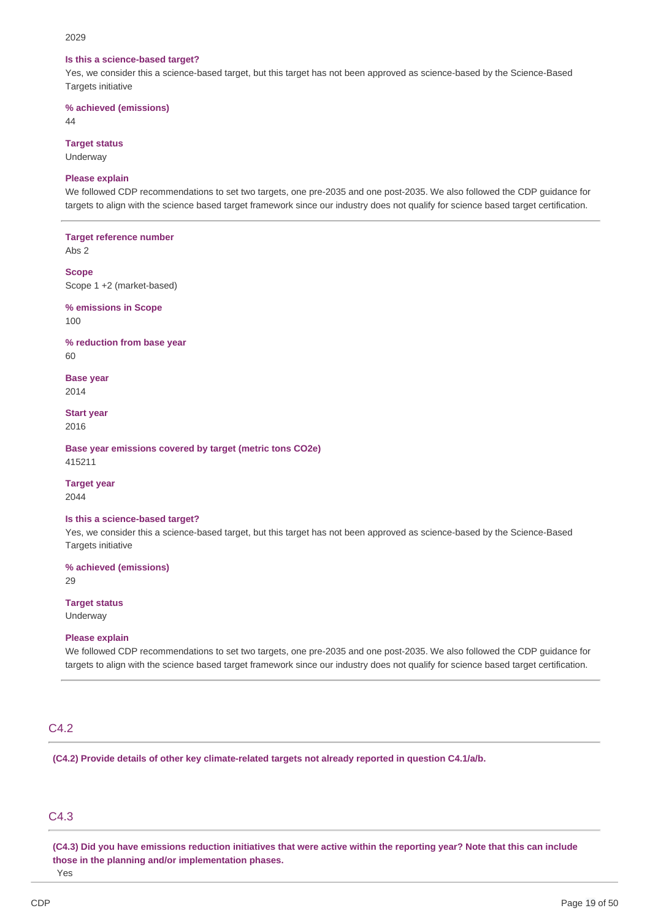#### 2029

#### **Is this a science-based target?**

 Yes, we consider this a science-based target, but this target has not been approved as science-based by the Science-Based Targets initiative

 **% achieved (emissions)**

 $\Delta\Delta$ 

#### **Target status**

Underway

### **Please explain**

 We followed CDP recommendations to set two targets, one pre-2035 and one post-2035. We also followed the CDP guidance for targets to align with the science based target framework since our industry does not qualify for science based target certification.

 **Target reference number**

Abs 2

 Scope 1 +2 (market-based) **Scope**

 **% emissions in Scope**  $100$ 

 **% reduction from base year**

60

**Base year** 2014

**Start year** 2016

 **Base year emissions covered by target (metric tons CO2e)** 415211

### **Target year**

2044

#### **Is this a science-based target?**

 Yes, we consider this a science-based target, but this target has not been approved as science-based by the Science-Based Targets initiative

 **% achieved (emissions)**

29

### **Target status**

Underway

### **Please explain**

 We followed CDP recommendations to set two targets, one pre-2035 and one post-2035. We also followed the CDP guidance for targets to align with the science based target framework since our industry does not qualify for science based target certification.

### C4.2

 **(C4.2) Provide details of other key climate-related targets not already reported in question C4.1/a/b.**

### C4.3

(C4.3) Did you have emissions reduction initiatives that were active within the reporting year? Note that this can include  **those in the planning and/or implementation phases.**

Yes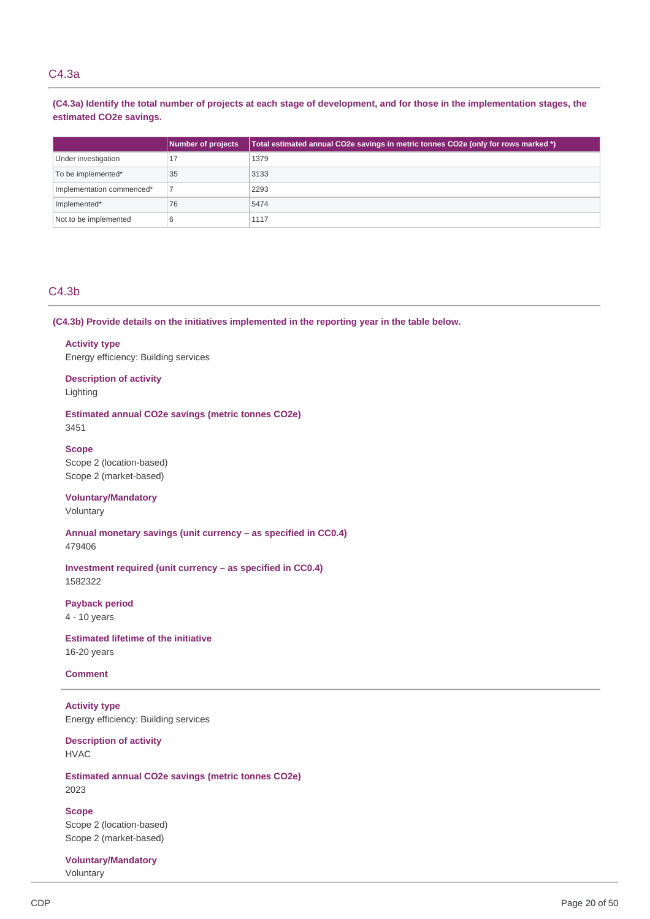### C4.3a

(C4.3a) Identify the total number of projects at each stage of development, and for those in the implementation stages, the  **estimated CO2e savings.**

|                           | Number of projects | Total estimated annual CO2e savings in metric tonnes CO2e (only for rows marked *) |
|---------------------------|--------------------|------------------------------------------------------------------------------------|
| Under investigation       | 17                 | 1379                                                                               |
| To be implemented*        | 35                 | 3133                                                                               |
| Implementation commenced* |                    | 2293                                                                               |
| Implemented*              | 76                 | 5474                                                                               |
| Not to be implemented     | 6                  | 1117                                                                               |

### C4.3b

 **(C4.3b) Provide details on the initiatives implemented in the reporting year in the table below.**

# **Activity type**

Energy efficiency: Building services

 **Description of activity** Lighting

 **Estimated annual CO2e savings (metric tonnes CO2e)** 3451

### **Scope**

 Scope 2 (location-based) Scope 2 (market-based)

# **Voluntary/Mandatory**

Voluntary

 **Annual monetary savings (unit currency – as specified in CC0.4)**

479406

 **Investment required (unit currency – as specified in CC0.4)** 1582322

**Payback period**

4 - 10 years

 **Estimated lifetime of the initiative** 16-20 years

# **Comment**

 Energy efficiency: Building services **Activity type**

 **Description of activity** HVAC

 **Estimated annual CO2e savings (metric tonnes CO2e)** 2023

 Scope 2 (location-based) Scope 2 (market-based) **Scope**

**Voluntary/Mandatory** Voluntary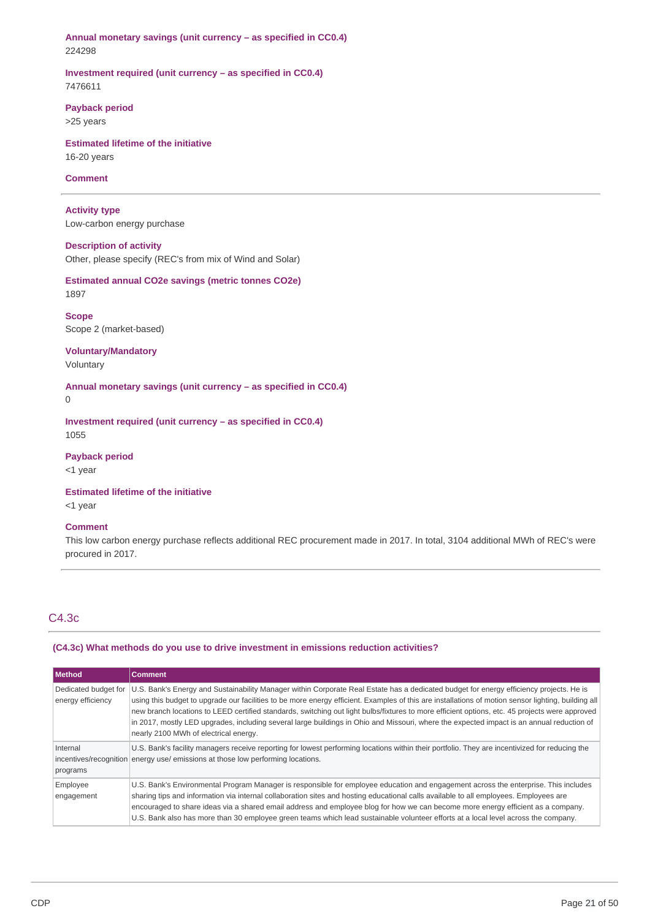**Annual monetary savings (unit currency – as specified in CC0.4)** 224298

 **Investment required (unit currency – as specified in CC0.4)** 7476611

**Payback period**

>25 years

 **Estimated lifetime of the initiative** 16-20 years

### **Comment**

 Low-carbon energy purchase **Activity type**

# **Description of activity**

Other, please specify (REC's from mix of Wind and Solar)

 **Estimated annual CO2e savings (metric tonnes CO2e)** 1897

 Scope 2 (market-based) **Scope**

# **Voluntary/Mandatory**

Voluntary

 **Annual monetary savings (unit currency – as specified in CC0.4)**

0

 **Investment required (unit currency – as specified in CC0.4)** 1055

**Payback period**

<1 year

 **Estimated lifetime of the initiative** <1 year

# **Comment**

 This low carbon energy purchase reflects additional REC procurement made in 2017. In total, 3104 additional MWh of REC's were procured in 2017.

# C4.3c

### **(C4.3c) What methods do you use to drive investment in emissions reduction activities?**

| Method                                    | <b>Comment</b>                                                                                                                                                                                                                                                                                                                                                                                                                                                                                                                                                                                                                         |
|-------------------------------------------|----------------------------------------------------------------------------------------------------------------------------------------------------------------------------------------------------------------------------------------------------------------------------------------------------------------------------------------------------------------------------------------------------------------------------------------------------------------------------------------------------------------------------------------------------------------------------------------------------------------------------------------|
| Dedicated budget for<br>energy efficiency | U.S. Bank's Energy and Sustainability Manager within Corporate Real Estate has a dedicated budget for energy efficiency projects. He is<br>using this budget to upgrade our facilities to be more energy efficient. Examples of this are installations of motion sensor lighting, building all<br>new branch locations to LEED certified standards, switching out light bulbs/fixtures to more efficient options, etc. 45 projects were approved<br>in 2017, mostly LED upgrades, including several large buildings in Ohio and Missouri, where the expected impact is an annual reduction of<br>nearly 2100 MWh of electrical energy. |
| Internal<br>programs                      | U.S. Bank's facility managers receive reporting for lowest performing locations within their portfolio. They are incentivized for reducing the<br>incentives/recognition energy use/ emissions at those low performing locations.                                                                                                                                                                                                                                                                                                                                                                                                      |
| Employee<br>engagement                    | U.S. Bank's Environmental Program Manager is responsible for employee education and engagement across the enterprise. This includes<br>sharing tips and information via internal collaboration sites and hosting educational calls available to all employees. Employees are<br>encouraged to share ideas via a shared email address and employee blog for how we can become more energy efficient as a company.<br>U.S. Bank also has more than 30 employee green teams which lead sustainable volunteer efforts at a local level across the company.                                                                                 |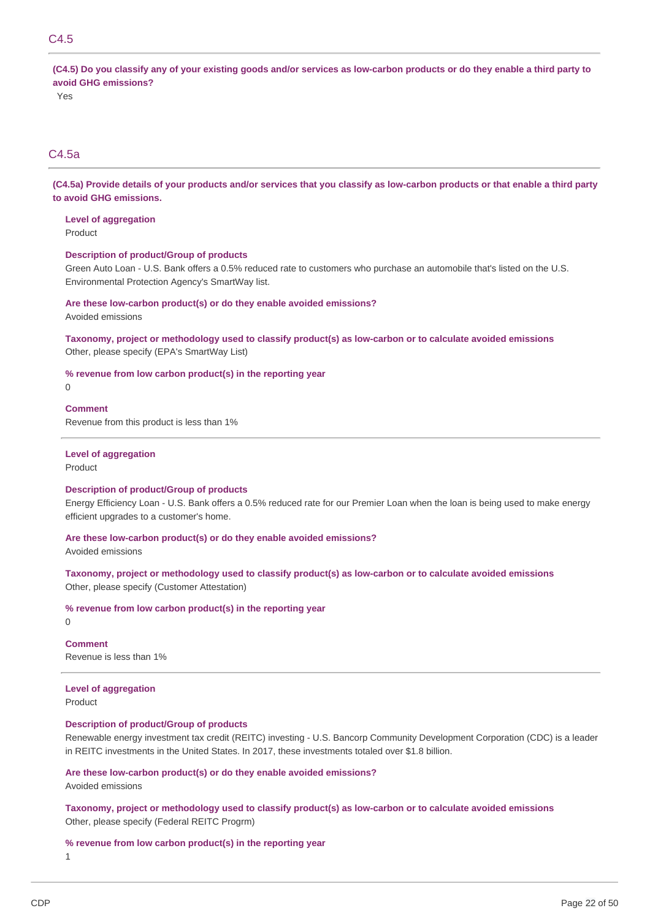# C4.5

(C4.5) Do you classify any of your existing goods and/or services as low-carbon products or do they enable a third party to  **avoid GHG emissions?**

Yes

# C4.5a

(C4.5a) Provide details of your products and/or services that you classify as low-carbon products or that enable a third party  **to avoid GHG emissions.**

 **Level of aggregation**

Product

### **Description of product/Group of products**

 Green Auto Loan - U.S. Bank offers a 0.5% reduced rate to customers who purchase an automobile that's listed on the U.S. Environmental Protection Agency's SmartWay list.

# **Are these low-carbon product(s) or do they enable avoided emissions?**

Avoided emissions

 **Taxonomy, project or methodology used to classify product(s) as low-carbon or to calculate avoided emissions** Other, please specify (EPA's SmartWay List)

 **% revenue from low carbon product(s) in the reporting year**

0

### **Comment**

Revenue from this product is less than 1%

### **Level of aggregation**

Product

#### **Description of product/Group of products**

 Energy Efficiency Loan - U.S. Bank offers a 0.5% reduced rate for our Premier Loan when the loan is being used to make energy efficient upgrades to a customer's home.

#### **Are these low-carbon product(s) or do they enable avoided emissions?**

Avoided emissions

 **Taxonomy, project or methodology used to classify product(s) as low-carbon or to calculate avoided emissions** Other, please specify (Customer Attestation)

#### **% revenue from low carbon product(s) in the reporting year**

 $\Omega$ 

 Revenue is less than 1% **Comment**

# **Level of aggregation**

Product

# **Description of product/Group of products**

 Renewable energy investment tax credit (REITC) investing - U.S. Bancorp Community Development Corporation (CDC) is a leader in REITC investments in the United States. In 2017, these investments totaled over \$1.8 billion.

### **Are these low-carbon product(s) or do they enable avoided emissions?**

Avoided emissions

 **Taxonomy, project or methodology used to classify product(s) as low-carbon or to calculate avoided emissions** Other, please specify (Federal REITC Progrm)

### **% revenue from low carbon product(s) in the reporting year**

1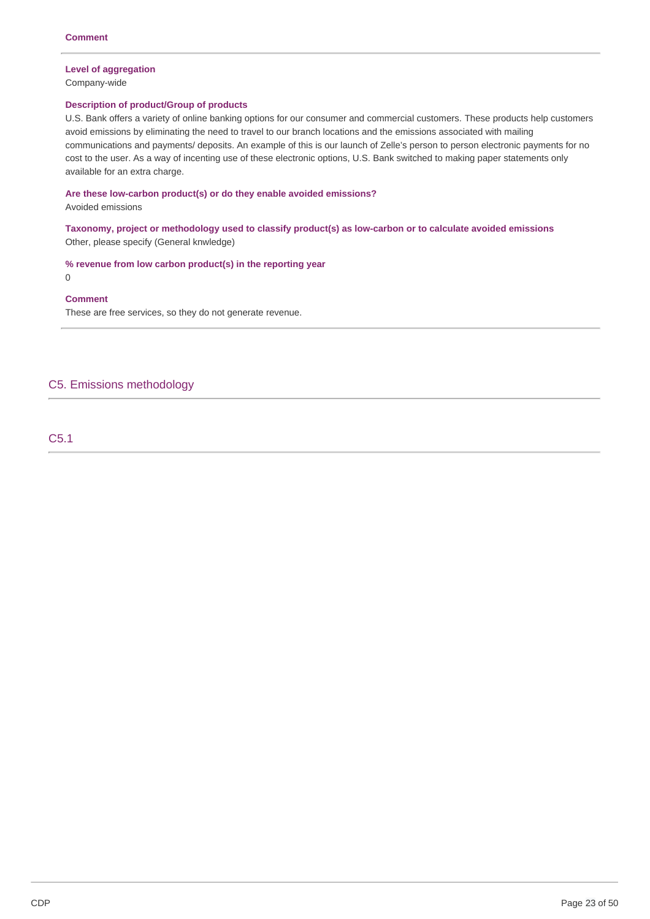### **Level of aggregation**

Company-wide

### **Description of product/Group of products**

 U.S. Bank offers a variety of online banking options for our consumer and commercial customers. These products help customers avoid emissions by eliminating the need to travel to our branch locations and the emissions associated with mailing communications and payments/ deposits. An example of this is our launch of Zelle's person to person electronic payments for no cost to the user. As a way of incenting use of these electronic options, U.S. Bank switched to making paper statements only available for an extra charge.

 **Are these low-carbon product(s) or do they enable avoided emissions?**

Avoided emissions

 **Taxonomy, project or methodology used to classify product(s) as low-carbon or to calculate avoided emissions** Other, please specify (General knwledge)

 **% revenue from low carbon product(s) in the reporting year**

### 0

### **Comment**

These are free services, so they do not generate revenue.

# C5. Emissions methodology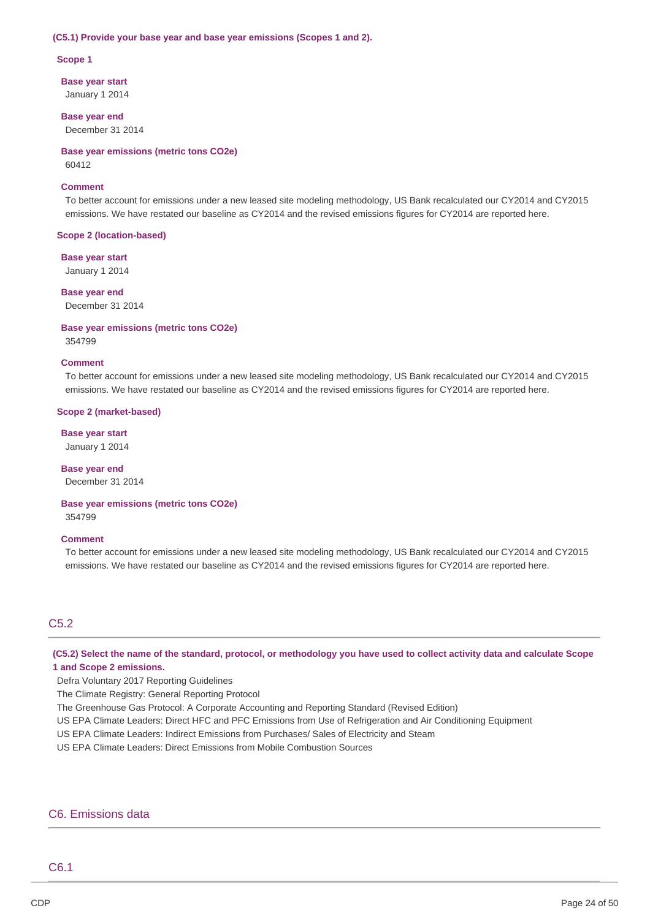#### **(C5.1) Provide your base year and base year emissions (Scopes 1 and 2).**

#### **Scope 1**

 **Base year start** January 1 2014

 **Base year end** December 31 2014

 **Base year emissions (metric tons CO2e)**

60412

### **Comment**

 To better account for emissions under a new leased site modeling methodology, US Bank recalculated our CY2014 and CY2015 emissions. We have restated our baseline as CY2014 and the revised emissions figures for CY2014 are reported here.

#### **Scope 2 (location-based)**

 **Base year start**

January 1 2014

#### **Base year end**

December 31 2014

### **Base year emissions (metric tons CO2e)** 354799

#### **Comment**

 To better account for emissions under a new leased site modeling methodology, US Bank recalculated our CY2014 and CY2015 emissions. We have restated our baseline as CY2014 and the revised emissions figures for CY2014 are reported here.

#### **Scope 2 (market-based)**

 **Base year start** January 1 2014

 **Base year end** December 31 2014

#### **Base year emissions (metric tons CO2e)**

354799

#### **Comment**

 To better account for emissions under a new leased site modeling methodology, US Bank recalculated our CY2014 and CY2015 emissions. We have restated our baseline as CY2014 and the revised emissions figures for CY2014 are reported here.

# C5.2

(C5.2) Select the name of the standard, protocol, or methodology you have used to collect activity data and calculate Scope  **1 and Scope 2 emissions.**

Defra Voluntary 2017 Reporting Guidelines

The Climate Registry: General Reporting Protocol

The Greenhouse Gas Protocol: A Corporate Accounting and Reporting Standard (Revised Edition)

US EPA Climate Leaders: Direct HFC and PFC Emissions from Use of Refrigeration and Air Conditioning Equipment

US EPA Climate Leaders: Indirect Emissions from Purchases/ Sales of Electricity and Steam

US EPA Climate Leaders: Direct Emissions from Mobile Combustion Sources

### C6. Emissions data

# C6.1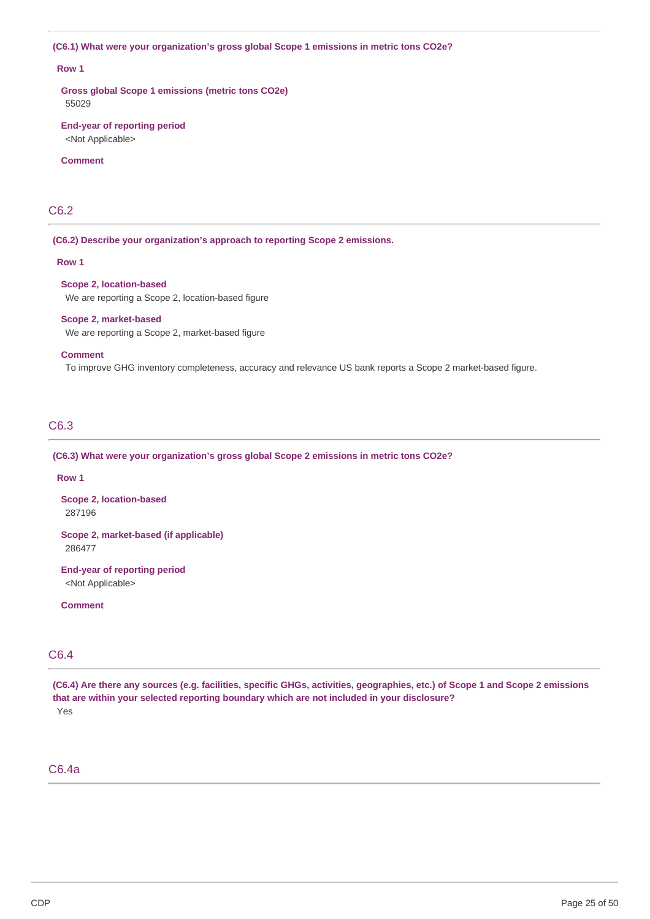#### **(C6.1) What were your organization's gross global Scope 1 emissions in metric tons CO2e?**

### **Row 1**

 **Gross global Scope 1 emissions (metric tons CO2e)** 55029

#### **End-year of reporting period** <Not Applicable>

### **Comment**

# C6.2

 **(C6.2) Describe your organization's approach to reporting Scope 2 emissions.**

#### **Row 1**

#### **Scope 2, location-based**

We are reporting a Scope 2, location-based figure

#### **Scope 2, market-based**

We are reporting a Scope 2, market-based figure

### **Comment**

To improve GHG inventory completeness, accuracy and relevance US bank reports a Scope 2 market-based figure.

# C6.3

#### **(C6.3) What were your organization's gross global Scope 2 emissions in metric tons CO2e?**

### **Row 1**

 **Scope 2, location-based** 287196

 **Scope 2, market-based (if applicable)** 286477

 **End-year of reporting period** <Not Applicable>

### **Comment**

# C6.4

(C6.4) Are there any sources (e.g. facilities, specific GHGs, activities, geographies, etc.) of Scope 1 and Scope 2 emissions  **that are within your selected reporting boundary which are not included in your disclosure?** Yes

# C6.4a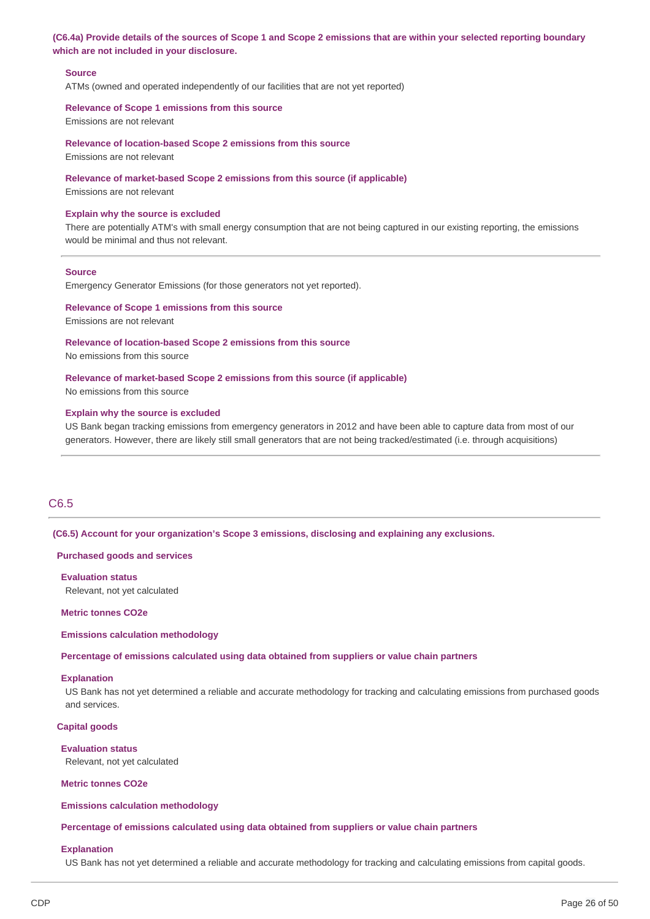### (C6.4a) Provide details of the sources of Scope 1 and Scope 2 emissions that are within your selected reporting boundary  **which are not included in your disclosure.**

### **Source**

ATMs (owned and operated independently of our facilities that are not yet reported)

#### **Relevance of Scope 1 emissions from this source**

Emissions are not relevant

#### **Relevance of location-based Scope 2 emissions from this source**

Emissions are not relevant

#### **Relevance of market-based Scope 2 emissions from this source (if applicable)**

Emissions are not relevant

#### **Explain why the source is excluded**

 There are potentially ATM's with small energy consumption that are not being captured in our existing reporting, the emissions would be minimal and thus not relevant.

#### **Source**

Emergency Generator Emissions (for those generators not yet reported).

### **Relevance of Scope 1 emissions from this source**

Emissions are not relevant

#### **Relevance of location-based Scope 2 emissions from this source**

No emissions from this source

#### **Relevance of market-based Scope 2 emissions from this source (if applicable)**

No emissions from this source

#### **Explain why the source is excluded**

 US Bank began tracking emissions from emergency generators in 2012 and have been able to capture data from most of our generators. However, there are likely still small generators that are not being tracked/estimated (i.e. through acquisitions)

### C6.5

#### **(C6.5) Account for your organization's Scope 3 emissions, disclosing and explaining any exclusions.**

#### **Purchased goods and services**

 Relevant, not yet calculated **Evaluation status**

#### **Metric tonnes CO2e**

#### **Emissions calculation methodology**

 **Percentage of emissions calculated using data obtained from suppliers or value chain partners**

### **Explanation**

 US Bank has not yet determined a reliable and accurate methodology for tracking and calculating emissions from purchased goods and services.

### **Capital goods**

#### **Evaluation status**

Relevant, not yet calculated

 **Metric tonnes CO2e**

### **Emissions calculation methodology**

 **Percentage of emissions calculated using data obtained from suppliers or value chain partners**

#### **Explanation**

US Bank has not yet determined a reliable and accurate methodology for tracking and calculating emissions from capital goods.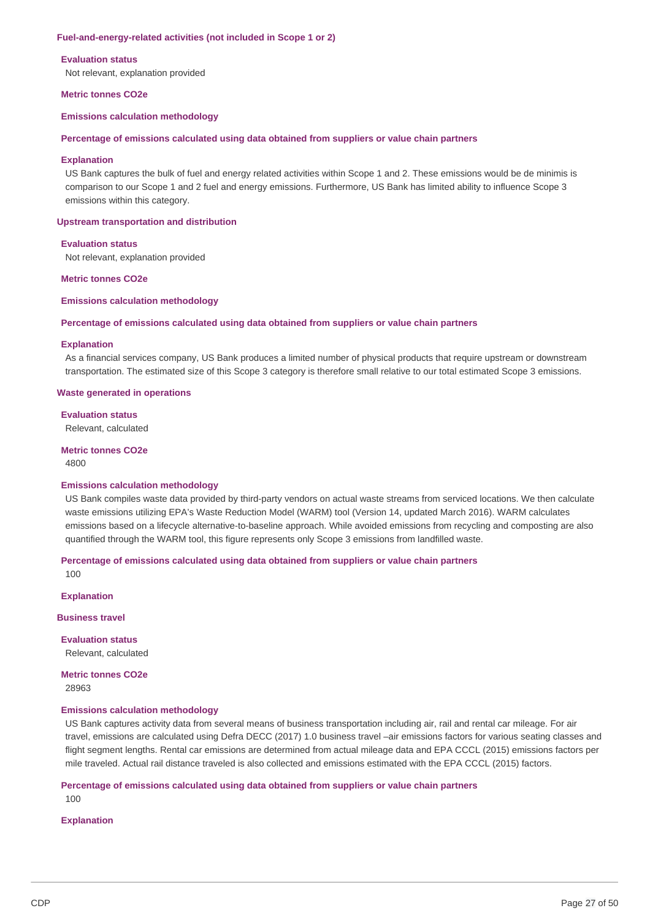#### **Fuel-and-energy-related activities (not included in Scope 1 or 2)**

#### **Evaluation status**

Not relevant, explanation provided

#### **Metric tonnes CO2e**

**Emissions calculation methodology**

#### **Percentage of emissions calculated using data obtained from suppliers or value chain partners**

#### **Explanation**

 US Bank captures the bulk of fuel and energy related activities within Scope 1 and 2. These emissions would be de minimis is comparison to our Scope 1 and 2 fuel and energy emissions. Furthermore, US Bank has limited ability to influence Scope 3 emissions within this category.

#### **Upstream transportation and distribution**

#### **Evaluation status**

Not relevant, explanation provided

#### **Metric tonnes CO2e**

#### **Emissions calculation methodology**

#### **Percentage of emissions calculated using data obtained from suppliers or value chain partners**

#### **Explanation**

 As a financial services company, US Bank produces a limited number of physical products that require upstream or downstream transportation. The estimated size of this Scope 3 category is therefore small relative to our total estimated Scope 3 emissions.

#### **Waste generated in operations**

**Evaluation status** Relevant, calculated

#### **Metric tonnes CO2e** 4800

#### **Emissions calculation methodology**

 US Bank compiles waste data provided by third-party vendors on actual waste streams from serviced locations. We then calculate waste emissions utilizing EPA's Waste Reduction Model (WARM) tool (Version 14, updated March 2016). WARM calculates emissions based on a lifecycle alternative-to-baseline approach. While avoided emissions from recycling and composting are also quantified through the WARM tool, this figure represents only Scope 3 emissions from landfilled waste.

#### **Percentage of emissions calculated using data obtained from suppliers or value chain partners**

100

### **Explanation**

**Business travel**

**Evaluation status** Relevant, calculated

 **Metric tonnes CO2e** 28963

### **Emissions calculation methodology**

 US Bank captures activity data from several means of business transportation including air, rail and rental car mileage. For air travel, emissions are calculated using Defra DECC (2017) 1.0 business travel –air emissions factors for various seating classes and flight segment lengths. Rental car emissions are determined from actual mileage data and EPA CCCL (2015) emissions factors per mile traveled. Actual rail distance traveled is also collected and emissions estimated with the EPA CCCL (2015) factors.

# **Percentage of emissions calculated using data obtained from suppliers or value chain partners**

100

### **Explanation**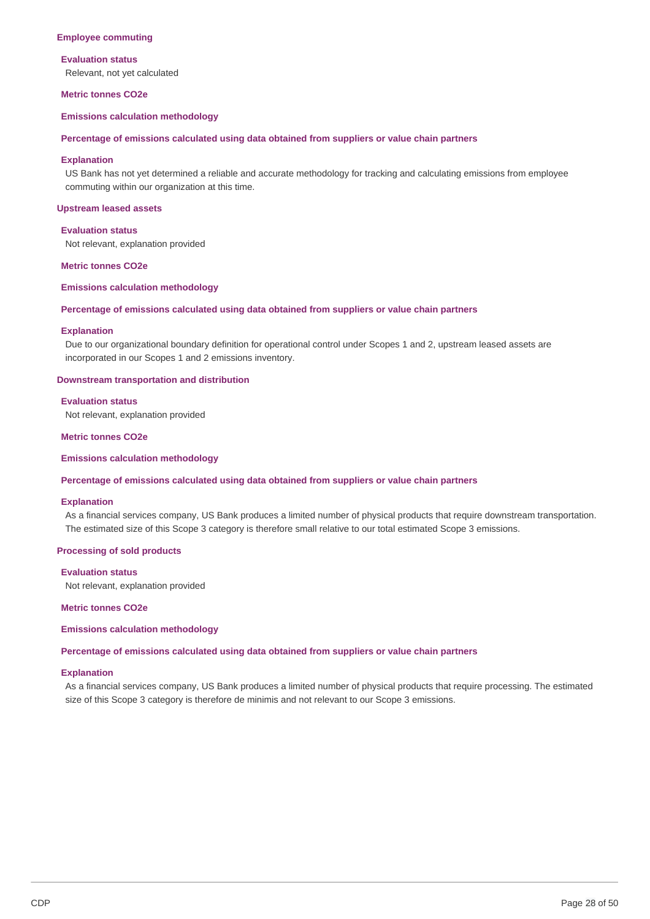#### **Employee commuting**

#### **Evaluation status**

Relevant, not yet calculated

#### **Metric tonnes CO2e**

### **Emissions calculation methodology**

#### **Percentage of emissions calculated using data obtained from suppliers or value chain partners**

#### **Explanation**

 US Bank has not yet determined a reliable and accurate methodology for tracking and calculating emissions from employee commuting within our organization at this time.

#### **Upstream leased assets**

#### **Evaluation status**

Not relevant, explanation provided

#### **Metric tonnes CO2e**

#### **Emissions calculation methodology**

#### **Percentage of emissions calculated using data obtained from suppliers or value chain partners**

#### **Explanation**

 Due to our organizational boundary definition for operational control under Scopes 1 and 2, upstream leased assets are incorporated in our Scopes 1 and 2 emissions inventory.

#### **Downstream transportation and distribution**

### **Evaluation status**

Not relevant, explanation provided

#### **Metric tonnes CO2e**

### **Emissions calculation methodology**

#### **Percentage of emissions calculated using data obtained from suppliers or value chain partners**

#### **Explanation**

 As a financial services company, US Bank produces a limited number of physical products that require downstream transportation. The estimated size of this Scope 3 category is therefore small relative to our total estimated Scope 3 emissions.

#### **Processing of sold products**

### **Evaluation status**

Not relevant, explanation provided

 **Metric tonnes CO2e**

**Emissions calculation methodology**

 **Percentage of emissions calculated using data obtained from suppliers or value chain partners**

### **Explanation**

 As a financial services company, US Bank produces a limited number of physical products that require processing. The estimated size of this Scope 3 category is therefore de minimis and not relevant to our Scope 3 emissions.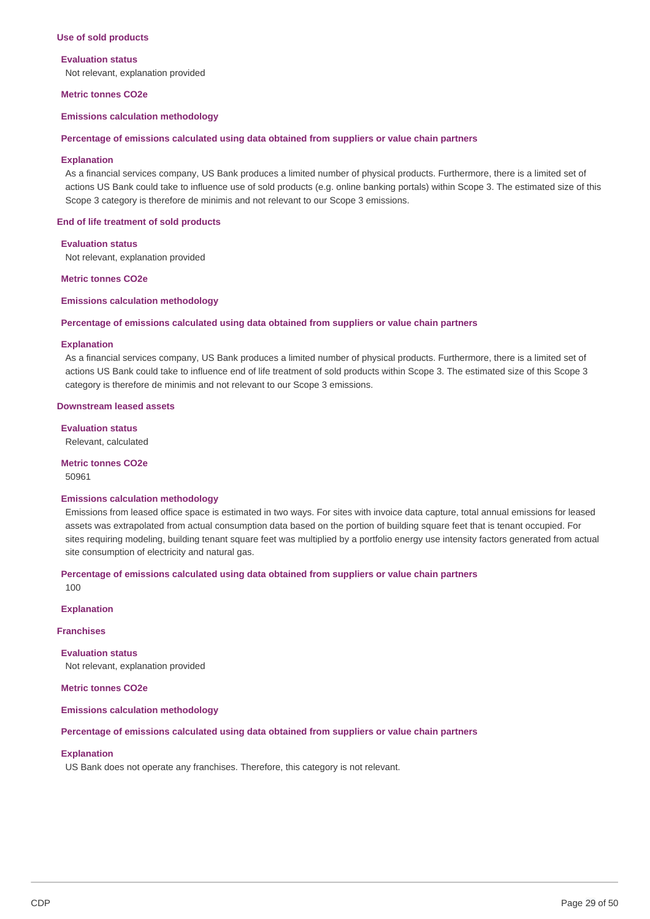#### **Use of sold products**

#### **Evaluation status**

Not relevant, explanation provided

#### **Metric tonnes CO2e**

**Emissions calculation methodology**

#### **Percentage of emissions calculated using data obtained from suppliers or value chain partners**

#### **Explanation**

 As a financial services company, US Bank produces a limited number of physical products. Furthermore, there is a limited set of actions US Bank could take to influence use of sold products (e.g. online banking portals) within Scope 3. The estimated size of this Scope 3 category is therefore de minimis and not relevant to our Scope 3 emissions.

#### **End of life treatment of sold products**

### **Evaluation status**

Not relevant, explanation provided

 **Metric tonnes CO2e**

#### **Emissions calculation methodology**

#### **Percentage of emissions calculated using data obtained from suppliers or value chain partners**

#### **Explanation**

 As a financial services company, US Bank produces a limited number of physical products. Furthermore, there is a limited set of actions US Bank could take to influence end of life treatment of sold products within Scope 3. The estimated size of this Scope 3 category is therefore de minimis and not relevant to our Scope 3 emissions.

#### **Downstream leased assets**

**Evaluation status**

Relevant, calculated

#### **Metric tonnes CO2e**

50961

#### **Emissions calculation methodology**

 Emissions from leased office space is estimated in two ways. For sites with invoice data capture, total annual emissions for leased assets was extrapolated from actual consumption data based on the portion of building square feet that is tenant occupied. For sites requiring modeling, building tenant square feet was multiplied by a portfolio energy use intensity factors generated from actual site consumption of electricity and natural gas.

# **Percentage of emissions calculated using data obtained from suppliers or value chain partners**

100

# **Explanation**

**Franchises**

 Not relevant, explanation provided **Evaluation status**

 **Metric tonnes CO2e**

**Emissions calculation methodology**

#### **Percentage of emissions calculated using data obtained from suppliers or value chain partners**

### **Explanation**

US Bank does not operate any franchises. Therefore, this category is not relevant.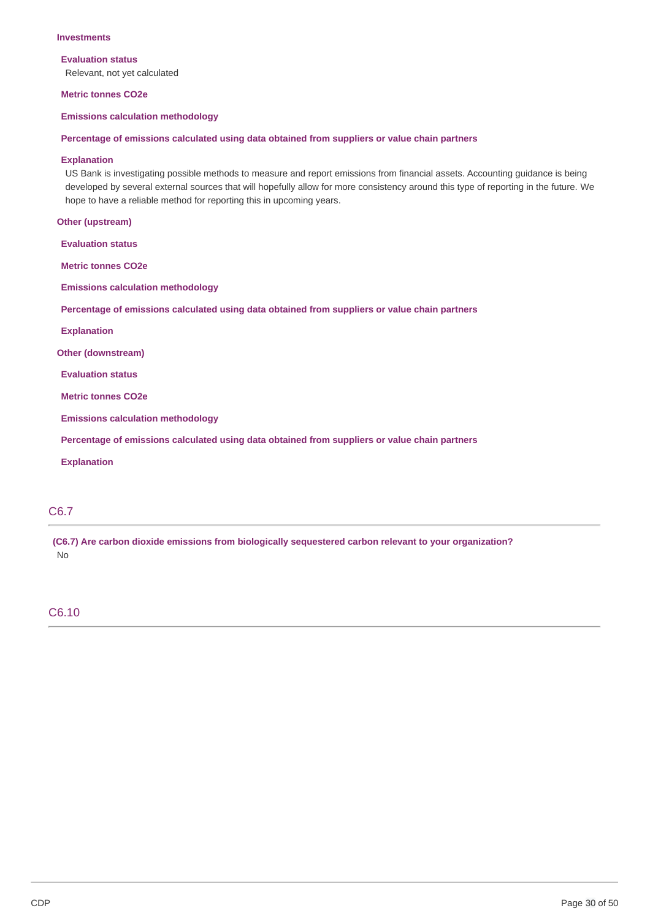### **Investments**

**Evaluation status**

Relevant, not yet calculated

 **Metric tonnes CO2e**

**Emissions calculation methodology**

#### **Percentage of emissions calculated using data obtained from suppliers or value chain partners**

### **Explanation**

 US Bank is investigating possible methods to measure and report emissions from financial assets. Accounting guidance is being developed by several external sources that will hopefully allow for more consistency around this type of reporting in the future. We hope to have a reliable method for reporting this in upcoming years.

**Other (upstream)**

**Evaluation status**

 **Metric tonnes CO2e**

**Emissions calculation methodology**

 **Percentage of emissions calculated using data obtained from suppliers or value chain partners**

**Explanation**

**Other (downstream)**

**Evaluation status**

 **Metric tonnes CO2e**

**Emissions calculation methodology**

 **Percentage of emissions calculated using data obtained from suppliers or value chain partners**

**Explanation**

# C6.7

 **(C6.7) Are carbon dioxide emissions from biologically sequestered carbon relevant to your organization?** No

### C6.10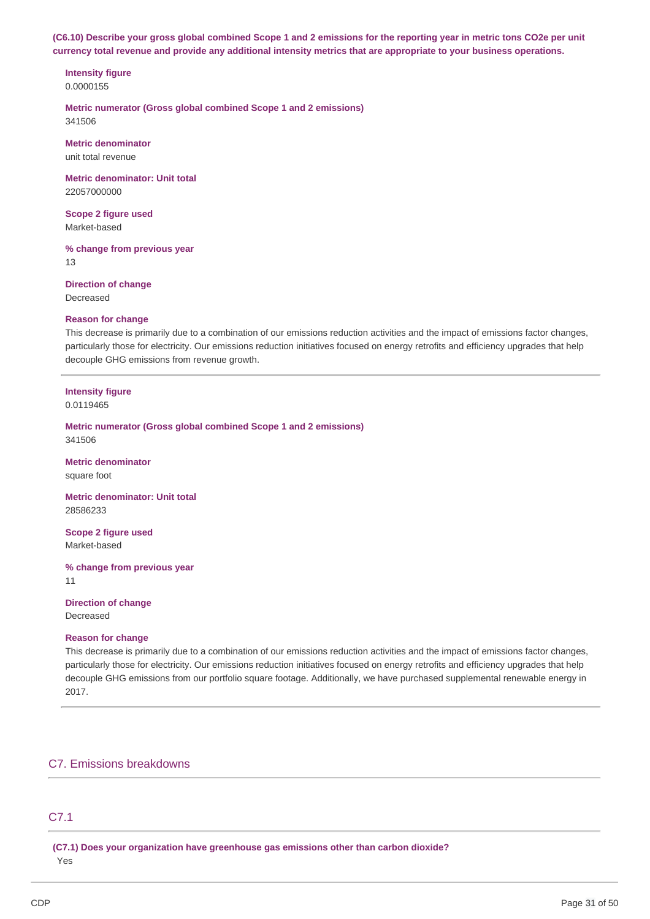(C6.10) Describe your gross global combined Scope 1 and 2 emissions for the reporting year in metric tons CO2e per unit currency total revenue and provide any additional intensity metrics that are appropriate to your business operations.

# **Intensity figure**

0.0000155

 **Metric numerator (Gross global combined Scope 1 and 2 emissions)** 341506

**Metric denominator**

unit total revenue

 **Metric denominator: Unit total** 22057000000

 **Scope 2 figure used** Market-based

 **% change from previous year** 13

 **Direction of change**

Decreased

### **Reason for change**

 This decrease is primarily due to a combination of our emissions reduction activities and the impact of emissions factor changes, particularly those for electricity. Our emissions reduction initiatives focused on energy retrofits and efficiency upgrades that help decouple GHG emissions from revenue growth.

# **Intensity figure**

0.0119465

 **Metric numerator (Gross global combined Scope 1 and 2 emissions)** 341506

**Metric denominator** square foot

 **Metric denominator: Unit total** 28586233

 **Scope 2 figure used** Market-based

 **% change from previous year** 11

 **Direction of change**

Decreased

### **Reason for change**

 This decrease is primarily due to a combination of our emissions reduction activities and the impact of emissions factor changes, particularly those for electricity. Our emissions reduction initiatives focused on energy retrofits and efficiency upgrades that help decouple GHG emissions from our portfolio square footage. Additionally, we have purchased supplemental renewable energy in 2017.

# C7. Emissions breakdowns

# C7.1

 **(C7.1) Does your organization have greenhouse gas emissions other than carbon dioxide?** Yes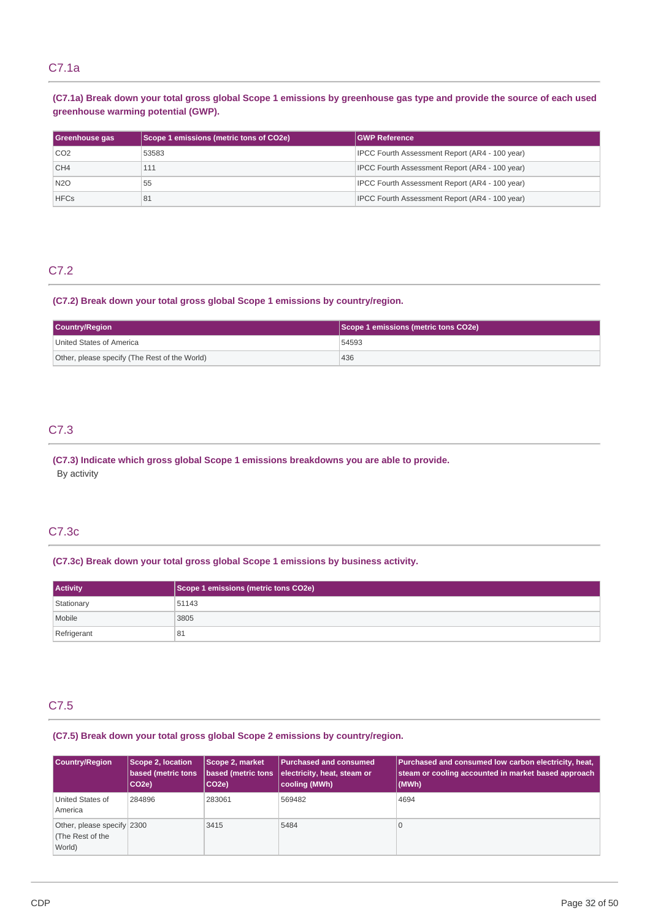# C7.1a

## (C7.1a) Break down your total gross global Scope 1 emissions by greenhouse gas type and provide the source of each used  **greenhouse warming potential (GWP).**

| Greenhouse gas  | Scope 1 emissions (metric tons of CO2e) | <b>GWP Reference</b>                           |
|-----------------|-----------------------------------------|------------------------------------------------|
| CO <sub>2</sub> | 53583                                   | IPCC Fourth Assessment Report (AR4 - 100 year) |
| CH <sub>4</sub> | 111                                     | IPCC Fourth Assessment Report (AR4 - 100 year) |
| <b>N2O</b>      | 55                                      | IPCC Fourth Assessment Report (AR4 - 100 year) |
| <b>HFCs</b>     | 81                                      | IPCC Fourth Assessment Report (AR4 - 100 year) |

# C7.2

### **(C7.2) Break down your total gross global Scope 1 emissions by country/region.**

| <b>Country/Region</b>                         | Scope 1 emissions (metric tons CO2e) |  |
|-----------------------------------------------|--------------------------------------|--|
| United States of America                      | 54593                                |  |
| Other, please specify (The Rest of the World) | 436                                  |  |

# C7.3

 **(C7.3) Indicate which gross global Scope 1 emissions breakdowns you are able to provide.** By activity

# C7.3c

### **(C7.3c) Break down your total gross global Scope 1 emissions by business activity.**

| <b>Activity</b> | Scope 1 emissions (metric tons CO2e) |
|-----------------|--------------------------------------|
| Stationary      | 51143                                |
| Mobile          | 3805                                 |
| Refrigerant     | 81                                   |

# C7.5

### **(C7.5) Break down your total gross global Scope 2 emissions by country/region.**

| <b>Country/Region</b>                                    | Scope 2, location<br>based (metric tons<br>CO <sub>2e</sub> | Scope 2, market<br>based (metric tons<br>CO <sub>2e</sub> ) | <b>Purchased and consumed</b><br>electricity, heat, steam or<br>cooling (MWh) | Purchased and consumed low carbon electricity, heat,<br>steam or cooling accounted in market based approach<br>(MWh) |
|----------------------------------------------------------|-------------------------------------------------------------|-------------------------------------------------------------|-------------------------------------------------------------------------------|----------------------------------------------------------------------------------------------------------------------|
| United States of<br>America                              | 284896                                                      | 283061                                                      | 569482                                                                        | 4694                                                                                                                 |
| Other, please specify 2300<br>(The Rest of the<br>World) |                                                             | 3415                                                        | 5484                                                                          |                                                                                                                      |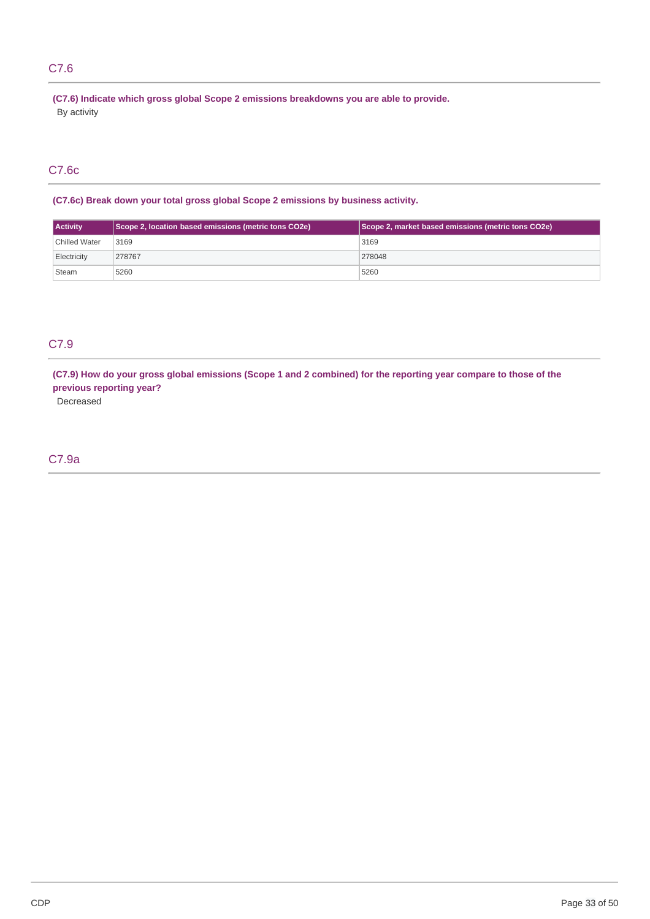# C7.6

 **(C7.6) Indicate which gross global Scope 2 emissions breakdowns you are able to provide.** By activity

# C7.6c

 **(C7.6c) Break down your total gross global Scope 2 emissions by bus iness activity.**

| <b>Activity</b>      | Scope 2, location based emissions (metric tons CO2e) | Scope 2, market based emissions (metric tons CO2e) |
|----------------------|------------------------------------------------------|----------------------------------------------------|
| <b>Chilled Water</b> | 3169                                                 | 3169                                               |
| Electricity          | 278767                                               | 278048                                             |
| Steam                | 5260                                                 | 5260                                               |

# C7.9

(C7.9) How do your gross global emissions (Scope 1 and 2 combined) for the reporting year compare to those of the  **previous reporting year?**

Decreased

# C7.9a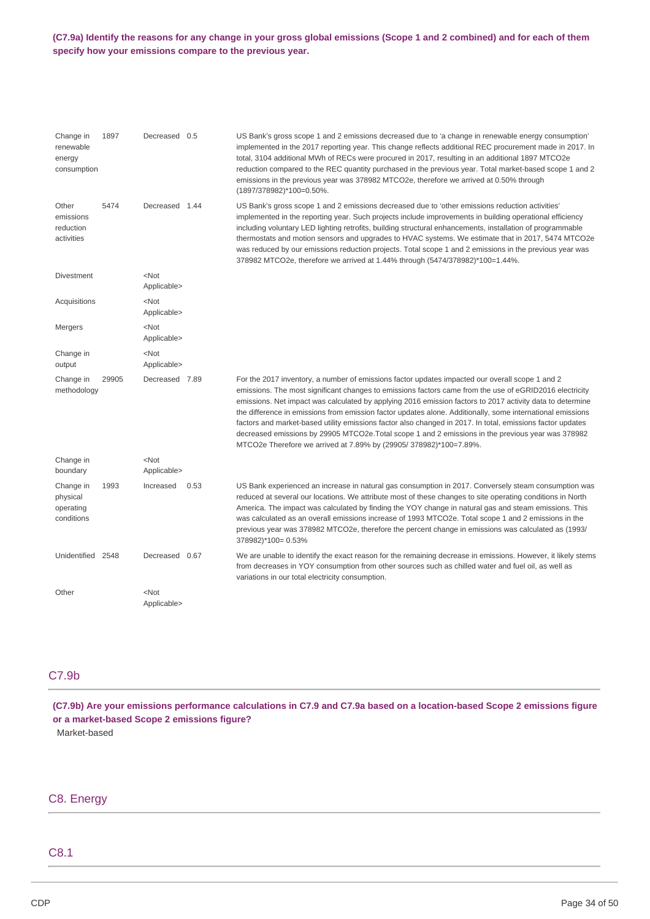### (C7.9a) Identify the reasons for any change in your gross global emissions (Scope 1 and 2 combined) and for each of them  **specify how your emissions compare to the previous year.**

| Change in                                        | 1897  | Decreased 0.5                   |      | US Bank's gross scope 1 and 2 emissions decreased due to 'a change in renewable energy consumption'                                                                                                                                                                                                                                                                                                                                                                                                                                                                                                                                                                                                                            |
|--------------------------------------------------|-------|---------------------------------|------|--------------------------------------------------------------------------------------------------------------------------------------------------------------------------------------------------------------------------------------------------------------------------------------------------------------------------------------------------------------------------------------------------------------------------------------------------------------------------------------------------------------------------------------------------------------------------------------------------------------------------------------------------------------------------------------------------------------------------------|
| renewable<br>energy<br>consumption               |       |                                 |      | implemented in the 2017 reporting year. This change reflects additional REC procurement made in 2017. In<br>total, 3104 additional MWh of RECs were procured in 2017, resulting in an additional 1897 MTCO2e<br>reduction compared to the REC quantity purchased in the previous year. Total market-based scope 1 and 2<br>emissions in the previous year was 378982 MTCO2e, therefore we arrived at 0.50% through<br>(1897/378982)*100=0.50%.                                                                                                                                                                                                                                                                                 |
| Other<br>emissions<br>reduction<br>activities    | 5474  | Decreased 1.44                  |      | US Bank's gross scope 1 and 2 emissions decreased due to 'other emissions reduction activities'<br>implemented in the reporting year. Such projects include improvements in building operational efficiency<br>including voluntary LED lighting retrofits, building structural enhancements, installation of programmable<br>thermostats and motion sensors and upgrades to HVAC systems. We estimate that in 2017, 5474 MTCO2e<br>was reduced by our emissions reduction projects. Total scope 1 and 2 emissions in the previous year was<br>378982 MTCO2e, therefore we arrived at 1.44% through (5474/378982)*100=1.44%.                                                                                                    |
| <b>Divestment</b>                                |       | $<$ Not<br>Applicable>          |      |                                                                                                                                                                                                                                                                                                                                                                                                                                                                                                                                                                                                                                                                                                                                |
| Acquisitions                                     |       | $<$ Not<br>Applicable>          |      |                                                                                                                                                                                                                                                                                                                                                                                                                                                                                                                                                                                                                                                                                                                                |
| Mergers                                          |       | $<$ Not<br>Applicable>          |      |                                                                                                                                                                                                                                                                                                                                                                                                                                                                                                                                                                                                                                                                                                                                |
| Change in<br>output                              |       | <not<br>Applicable&gt;</not<br> |      |                                                                                                                                                                                                                                                                                                                                                                                                                                                                                                                                                                                                                                                                                                                                |
| Change in<br>methodology                         | 29905 | Decreased 7.89                  |      | For the 2017 inventory, a number of emissions factor updates impacted our overall scope 1 and 2<br>emissions. The most significant changes to emissions factors came from the use of eGRID2016 electricity<br>emissions. Net impact was calculated by applying 2016 emission factors to 2017 activity data to determine<br>the difference in emissions from emission factor updates alone. Additionally, some international emissions<br>factors and market-based utility emissions factor also changed in 2017. In total, emissions factor updates<br>decreased emissions by 29905 MTCO2e. Total scope 1 and 2 emissions in the previous year was 378982<br>MTCO2e Therefore we arrived at 7.89% by (29905/378982)*100=7.89%. |
| Change in<br>boundary                            |       | $<$ Not<br>Applicable>          |      |                                                                                                                                                                                                                                                                                                                                                                                                                                                                                                                                                                                                                                                                                                                                |
| Change in<br>physical<br>operating<br>conditions | 1993  | Increased                       | 0.53 | US Bank experienced an increase in natural gas consumption in 2017. Conversely steam consumption was<br>reduced at several our locations. We attribute most of these changes to site operating conditions in North<br>America. The impact was calculated by finding the YOY change in natural gas and steam emissions. This<br>was calculated as an overall emissions increase of 1993 MTCO2e. Total scope 1 and 2 emissions in the<br>previous year was 378982 MTCO2e, therefore the percent change in emissions was calculated as (1993/<br>378982)*100= 0.53%                                                                                                                                                               |
| Unidentified 2548                                |       | Decreased 0.67                  |      | We are unable to identify the exact reason for the remaining decrease in emissions. However, it likely stems<br>from decreases in YOY consumption from other sources such as chilled water and fuel oil, as well as<br>variations in our total electricity consumption.                                                                                                                                                                                                                                                                                                                                                                                                                                                        |
| Other                                            |       | <not<br>Applicable&gt;</not<br> |      |                                                                                                                                                                                                                                                                                                                                                                                                                                                                                                                                                                                                                                                                                                                                |

# C7.9b

(C7.9b) Are your emissions performance calculations in C7.9 and C7.9a based on a location-based Scope 2 emissions figure  **or a market-based Scope 2 emissions figure?** Market-based

# C8. Energy

# C8.1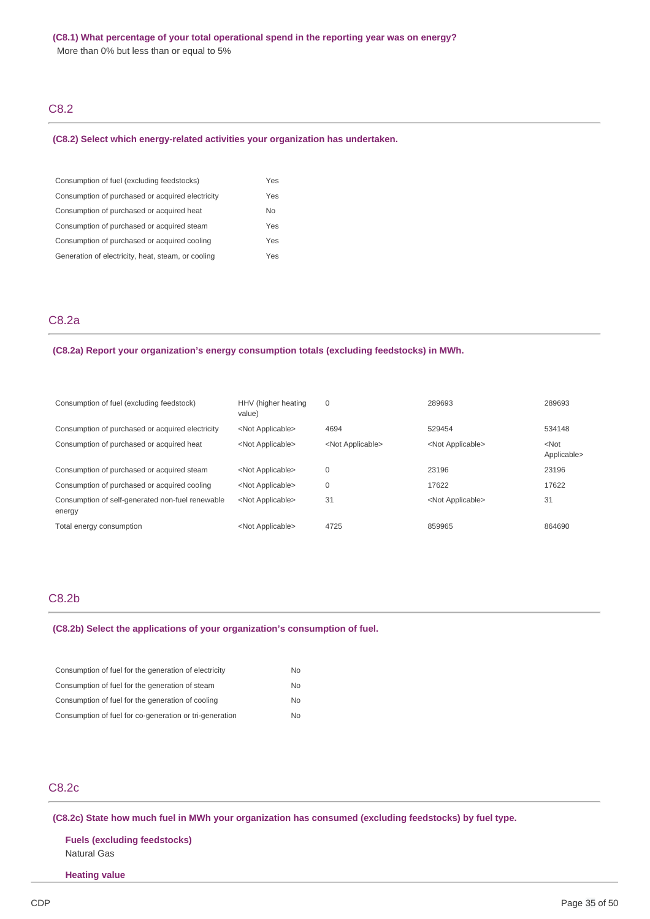More than 0% but less than or equal to 5%

# C8.2

#### **(C8.2) Select which energy-related activities your organization has undertaken.**

| Consumption of fuel (excluding feedstocks)         | Yes            |
|----------------------------------------------------|----------------|
| Consumption of purchased or acquired electricity   | Yes            |
| Consumption of purchased or acquired heat          | N <sub>0</sub> |
| Consumption of purchased or acquired steam         | Yes            |
| Consumption of purchased or acquired cooling       | Yes            |
| Generation of electricity, heat, steam, or cooling | Yes            |

# C8.2a

#### **(C8.2a) Report your organization's energy consumption totals (excluding feedstocks) in MWh.**

| Consumption of fuel (excluding feedstock)                  | HHV (higher heating<br>value) | 0                         | 289693                    | 289693                 |
|------------------------------------------------------------|-------------------------------|---------------------------|---------------------------|------------------------|
| Consumption of purchased or acquired electricity           | <not applicable=""></not>     | 4694                      | 529454                    | 534148                 |
| Consumption of purchased or acquired heat                  | <not applicable=""></not>     | <not applicable=""></not> | <not applicable=""></not> | $<$ Not<br>Applicable> |
| Consumption of purchased or acquired steam                 | <not applicable=""></not>     | 0                         | 23196                     | 23196                  |
| Consumption of purchased or acquired cooling               | <not applicable=""></not>     | 0                         | 17622                     | 17622                  |
| Consumption of self-generated non-fuel renewable<br>energy | <not applicable=""></not>     | 31                        | <not applicable=""></not> | 31                     |
| Total energy consumption                                   | <not applicable=""></not>     | 4725                      | 859965                    | 864690                 |

# C8.2b

#### **(C8.2b) Select the applications of your organization's consumption of fuel.**

| Consumption of fuel for the generation of electricity   | No.            |
|---------------------------------------------------------|----------------|
| Consumption of fuel for the generation of steam         | N <sub>0</sub> |
| Consumption of fuel for the generation of cooling       | <b>No</b>      |
| Consumption of fuel for co-generation or tri-generation | No.            |

# C8.2c

 **(C8.2c) State how much fuel in MWh your organization has consumed (excluding feedstocks) by fuel type.**

 **Fuels (excluding feedstocks)** Natural Gas

### **Heating value**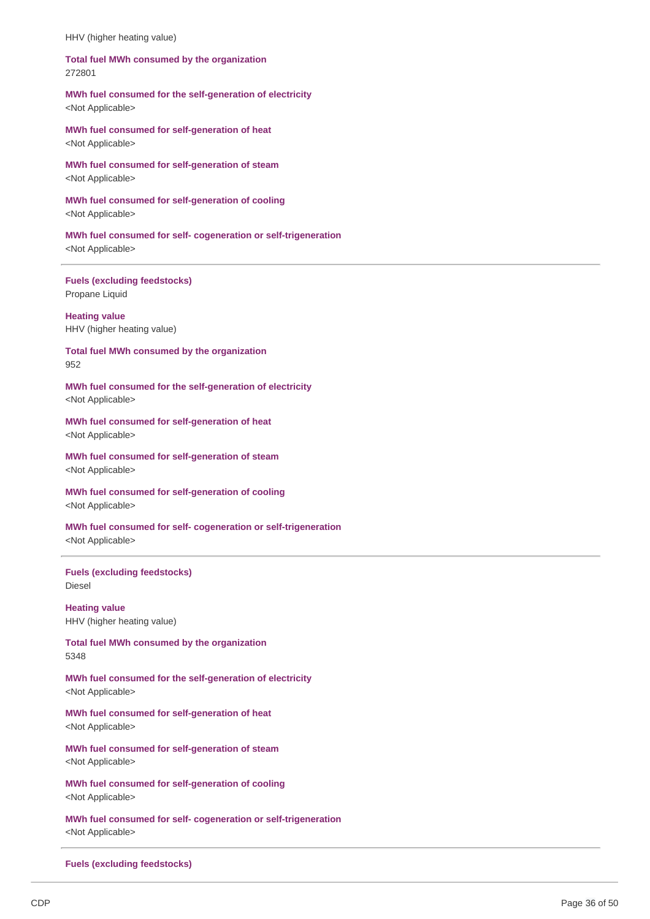HHV (higher heating value)

### **Total fuel MWh consumed by the organization** 272801

### **MWh fuel consumed for the self-generation of electricity** <Not Applicable>

 **MWh fuel consumed for self-generation of heat** <Not Applicable>

 **MWh fuel consumed for self-generation of steam** <Not Applicable>

 **MWh fuel consumed for self-generation of cooling** <Not Applicable>

 **MWh fuel consumed for self- cogeneration or self-trigeneration** <Not Applicable>

 **Fuels (excluding feedstocks)** Propane Liquid

 HHV (higher heating value) **Heating value**

 **Total fuel MWh consumed by the organization** 952

 **MWh fuel consumed for the self-generation of electricity** <Not Applicable>

 **MWh fuel consumed for self-generation of heat** <Not Applicable>

 **MWh fuel consumed for self-generation of steam** <Not Applicable>

 **MWh fuel consumed for self-generation of cooling** <Not Applicable>

 **MWh fuel consumed for self- cogeneration or self-trigeneration** <Not Applicable>

### **Fuels (excluding feedstocks)** Diesel

 HHV (higher heating value) **Heating value**

 **Total fuel MWh consumed by the organization** 5348

 **MWh fuel consumed for the self-generation of electricity** <Not Applicable>

 **MWh fuel consumed for self-generation of heat** <Not Applicable>

 **MWh fuel consumed for self-generation of steam** <Not Applicable>

 **MWh fuel consumed for self-generation of cooling** <Not Applicable>

 **MWh fuel consumed for self- cogeneration or self-trigeneration** <Not Applicable>

 **Fuels (excluding feedstocks)**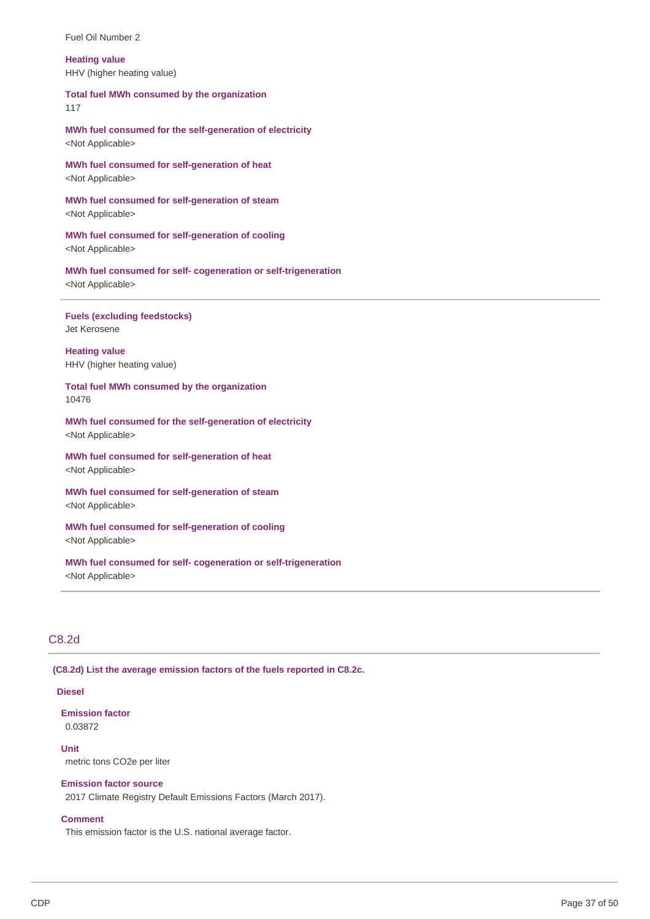Fuel Oil Number 2

### HHV (higher heating value) **Heating value**

### **Total fuel MWh consumed by the organization**

117

 **MWh fuel consumed for the self-generation of electricity** <Not Applicable>

 **MWh fuel consumed for self-generation of heat** <Not Applicable>

 **MWh fuel consumed for self-generation of steam** <Not Applicable>

 **MWh fuel consumed for self-generation of cooling** <Not Applicable>

 **MWh fuel consumed for self- cogeneration or self-trigeneration** <Not Applicable>

### **Fuels (excluding feedstocks)** Jet Kerosene

 HHV (higher heating value) **Heating value**

 **Total fuel MWh consumed by the organization** 10476

 **MWh fuel consumed for the self-generation of electricity** <Not Applicable>

 **MWh fuel consumed for self-generation of heat** <Not Applicable>

 **MWh fuel consumed for self-generation of steam** <Not Applicable>

 **MWh fuel consumed for self-generation of cooling** <Not Applicable>

 **MWh fuel consumed for self- cogeneration or self-trigeneration** <Not Applicable>

# C8.2d

 **(C8.2d) List the average emission factors of the fuels reported in C8.2c.**

### **Diesel**

### **Emission factor** 0.03872

 metric tons CO2e per liter **Unit**

# **Emission factor source**

2017 Climate Registry Default Emissions Factors (March 2017).

### **Comment**

This emission factor is the U.S. national average factor.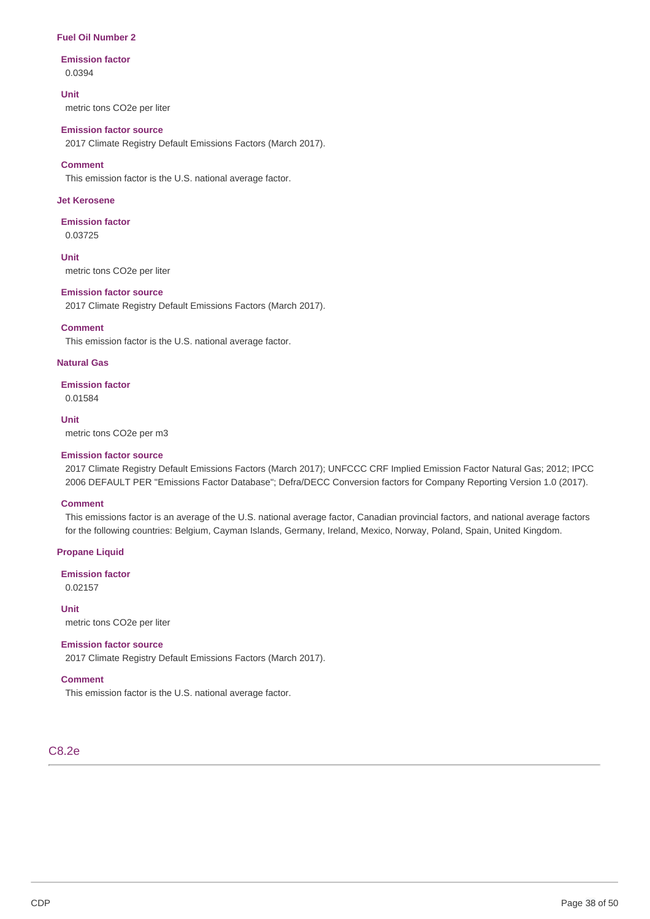### **Fuel Oil Number 2**

### **Emission factor** 0.0394

**Unit**

metric tons CO2e per liter

### **Emission factor source**

2017 Climate Registry Default Emissions Factors (March 2017).

### **Comment**

This emission factor is the U.S. national average factor.

### **Jet Kerosene**

# **Emission factor**

0.03725

 metric tons CO2e per liter **Unit**

### **Emission factor source**

2017 Climate Registry Default Emissions Factors (March 2017).

### **Comment**

This emission factor is the U.S. national average factor.

### **Natural Gas**

**Emission factor** 0.01584

### **Unit**

metric tons CO2e per m3

### **Emission factor source**

 2017 Climate Registry Default Emissions Factors (March 2017); UNFCCC CRF Implied Emission Factor Natural Gas; 2012; IPCC 2006 DEFAULT PER "Emissions Factor Database"; Defra/DECC Conversion factors for Company Reporting Version 1.0 (2017).

#### **Comment**

 This emissions factor is an average of the U.S. national average factor, Canadian provincial factors, and national average factors for the following countries: Belgium, Cayman Islands, Germany, Ireland, Mexico, Norway, Poland, Spain, United Kingdom.

### **Propane Liquid**

**Emission factor** 0.02157

 metric tons CO2e per liter **Unit**

### **Emission factor source**

2017 Climate Registry Default Emissions Factors (March 2017).

### **Comment**

This emission factor is the U.S. national average factor.

# C8.2e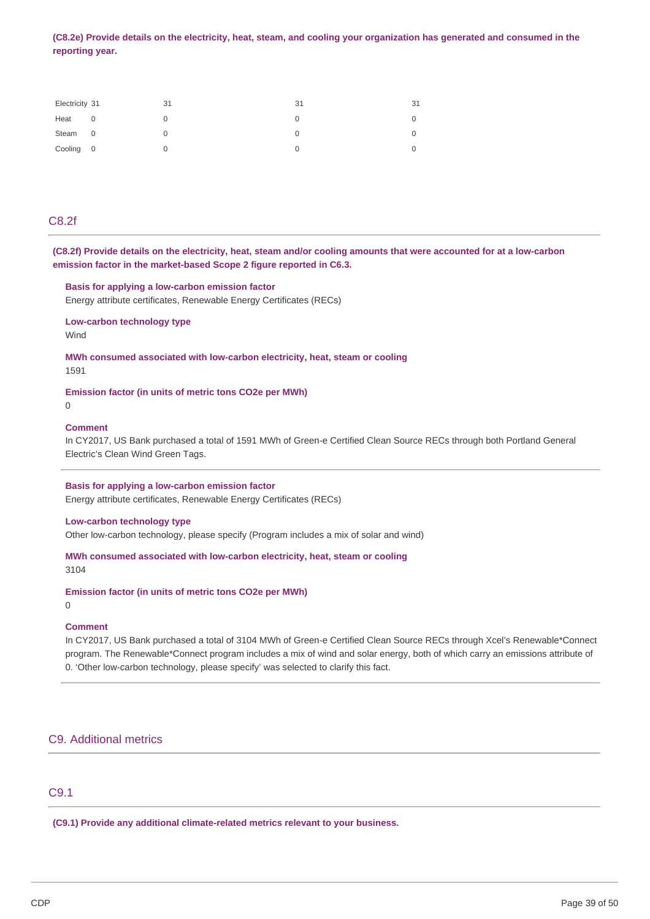(C8.2e) Provide details on the electricity, heat, steam, and cooling your organization has generated and consumed in the **reporting year.**

| Electricity 31 |   | 31 | 31 | 31 |
|----------------|---|----|----|----|
| Heat           | 0 |    |    |    |
| Steam 0        |   |    |    |    |
| Cooling 0      |   |    |    |    |

# C8.2f

(C8.2f) Provide details on the electricity, heat, steam and/or cooling amounts that were accounted for at a low-carbon  **emission factor in the market-based Scope 2 figure reported in C6.3.**

#### **Basis for applying a low-carbon emission factor**

Energy attribute certificates, Renewable Energy Certificates (RECs)

**Low-carbon technology type** Wind

 **MWh consumed associated with low-carbon electricity, heat, steam or cooling** 1591

 **Emission factor (in units of metric tons CO2e per MWh)**

#### $\Omega$

### **Comment**

 In CY2017, US Bank purchased a total of 1591 MWh of Green-e Certified Clean Source RECs through both Portland General Electric's Clean Wind Green Tags.

 **Basis for applying a low-carbon emission factor**

Energy attribute certificates, Renewable Energy Certificates (RECs)

### **Low-carbon technology type**

Other low-carbon technology, please specify (Program includes a mix of solar and wind)

 **MWh consumed associated with low-carbon electricity, heat, steam or cooling** 3104

 **Emission factor (in units of metric tons CO2e per MWh)**

### $\Omega$

### **Comment**

 In CY2017, US Bank purchased a total of 3104 MWh of Green-e Certified Clean Source RECs through Xcel's Renewable\*Connect program. The Renewable\*Connect program includes a mix of wind and solar energy, both of which carry an emissions attribute of 0. 'Other low-carbon technology, please specify' was selected to clarify this fact.

### C9. Additional metrics

# C9.1

 **(C9.1) Provide any additional climate-related metrics relevant to your business.**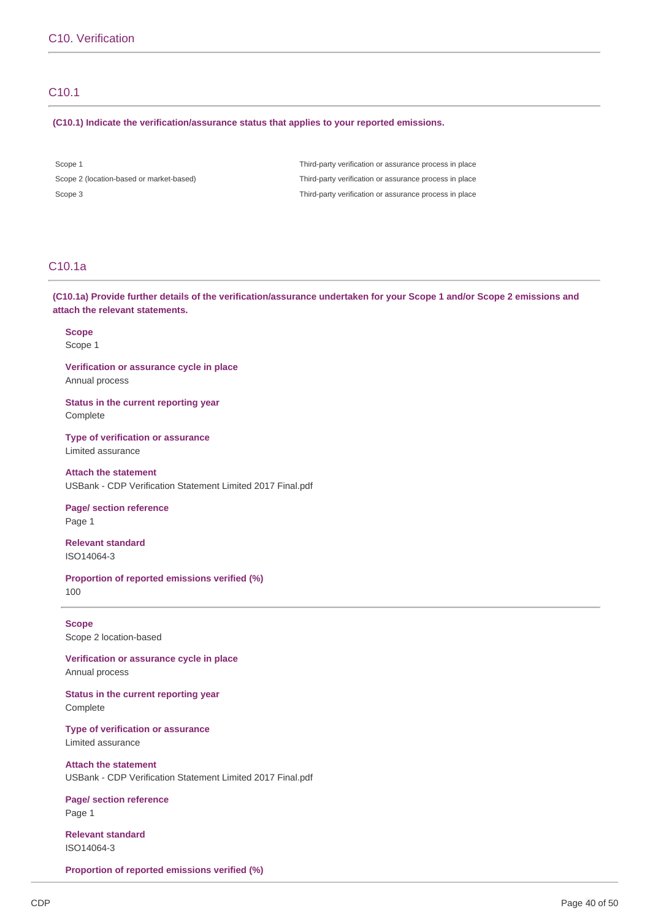# C10.1

#### **(C10.1) Indicate the verification/assurance status that applies to your reported emissions.**

Scope 2 (location-based or market-based)

Scope 1 Third-party verification or assurance process in place Scope 3 Third-party verification or assurance process in place Third-party verification or assurance process in place

# C10.1a

(C10.1a) Provide further details of the verification/assurance undertaken for your Scope 1 and/or Scope 2 emissions and  **attach the relevant statements.**

**Scope** Scope 1

 **Verification or assurance cycle in place** Annual process

 **Status in the current reporting year** Complete

 **Type of verification or assurance** Limited assurance

 **Attach the statement** USBank - CDP Verification Statement Limited 2017 Final.pdf

 **Page/ section reference** Page 1

**Relevant standard** ISO14064-3

 **Proportion of reported emissions verified (%)** 100

 Scope 2 location-based **Scope**

 **Verification or assurance cycle in place** Annual process

 **Status in the current reporting year** Complete

 **Type of verification or assurance** Limited assurance

 **Attach the statement** USBank - CDP Verification Statement Limited 2017 Final.pdf

 **Page/ section reference** Page 1

**Relevant standard** ISO14064-3

 **Proportion of reported emissions verified (%)**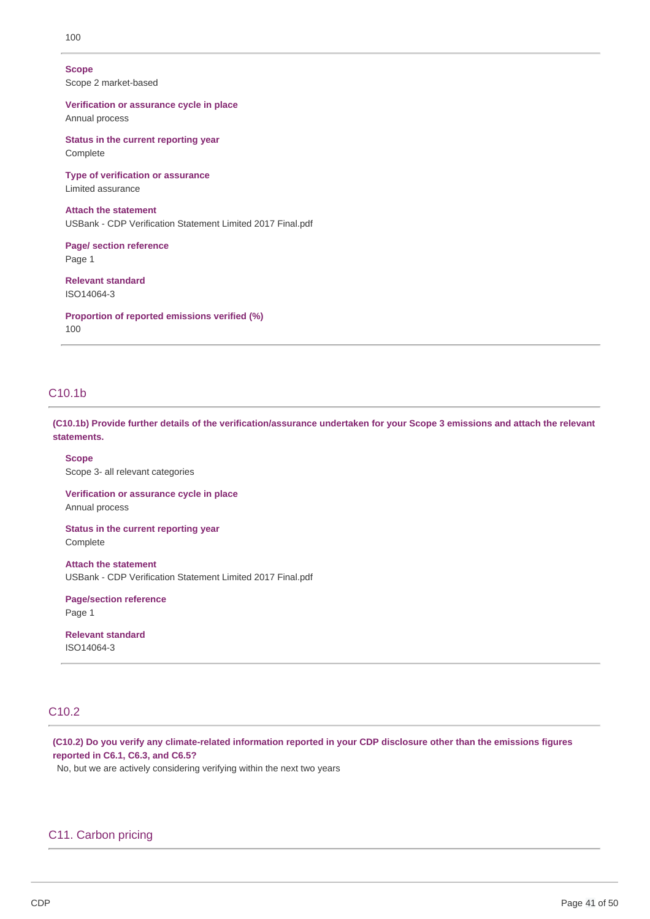### 100

### **Scope**

Scope 2 market-based

 **Verification or assurance cycle in place** Annual process

 **Status in the current reporting year** Complete

 **Type of verification or assurance** Limited assurance

 **Attach the statement** USBank - CDP Verification Statement Limited 2017 Final.pdf

 **Page/ section reference** Page 1

**Relevant standard** ISO14064-3

 **Proportion of reported emissions verified (%)** 100

# C10.1b

(C10.1b) Provide further details of the verification/assurance undertaken for your Scope 3 emissions and attach the relevant **statements.**

 Scope 3- all relevant categories **Scope**

 **Verification or assurance cycle in place** Annual process

 **Status in the current reporting year** Complete

 **Attach the statement** USBank - CDP Verification Statement Limited 2017 Final.pdf

**Page/section reference** Page 1

**Relevant standard** ISO14064-3

# C10.2

(C10.2) Do you verify any climate-related information reported in your CDP disclosure other than the emissions figures  **reported in C6.1, C6.3, and C6.5?**

No, but we are actively considering verifying within the next two years

### C11. Carbon pricing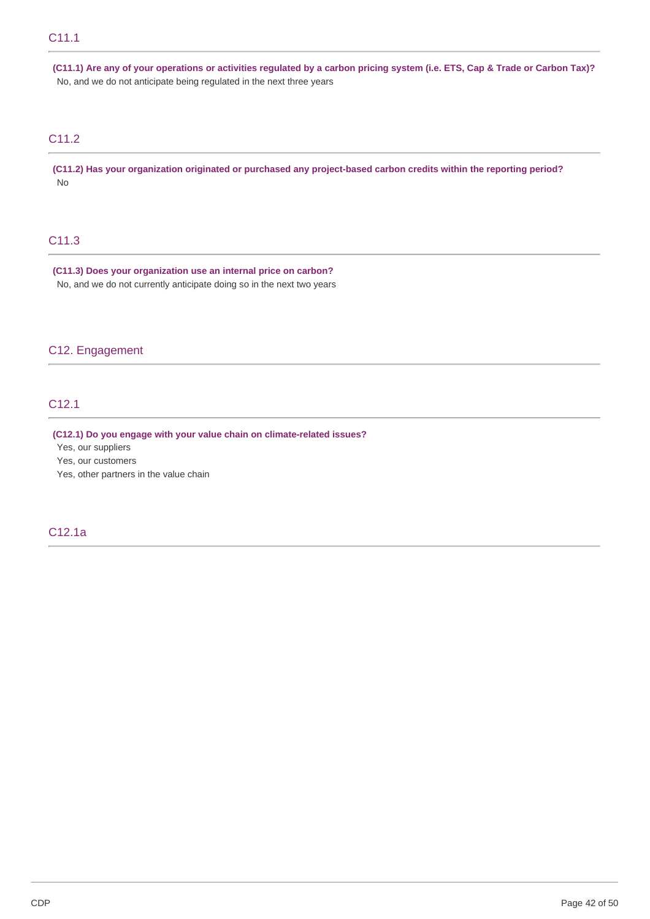(C11.1) Are any of your operations or activities regulated by a carbon pricing system (i.e. ETS, Cap & Trade or Carbon Tax)? No, and we do not anticipate being regulated in the next three years

# C11.2

(C11.2) Has your organization originated or purchased any project-based carbon credits within the reporting period? No

# C11.3

 **(C11.3) Does your organization use an internal price on carbon?** No, and we do not currently anticipate doing so in the next two years

### C12. Engagement

# C12.1

### **(C12.1) Do you engage with your value chain on climate-related issues?**

Yes, our suppliers

Yes, our customers

Yes, other partners in the value chain

C12.1a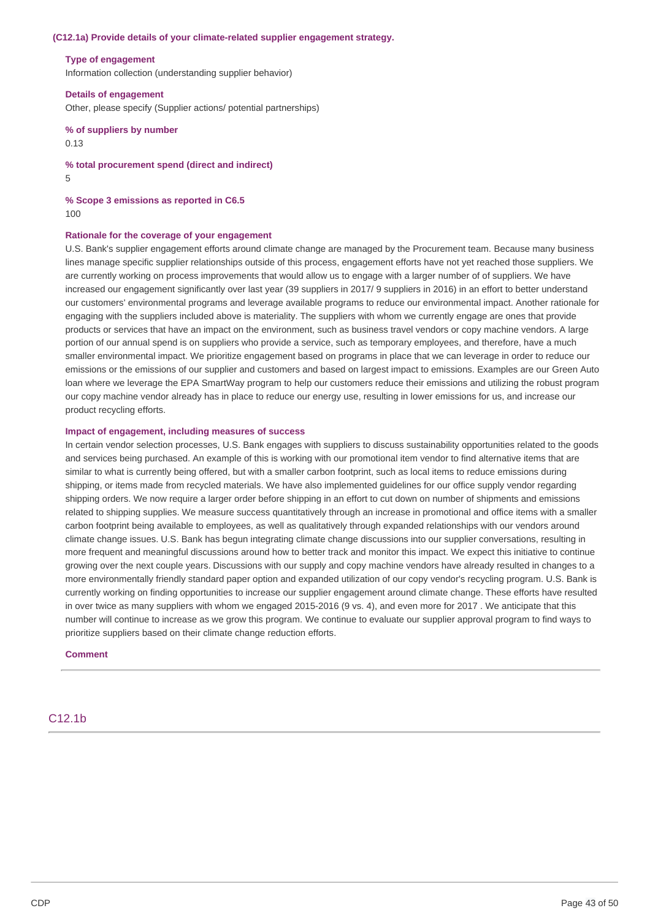#### **(C12.1a) Provide details of your climate-related supplier engagement strategy.**

#### **Type of engagement**

Information collection (understanding supplier behavior)

 **Details of engagement** Other, please specify (Supplier actions/ potential partnerships)

 **% of suppliers by number** 0.13

 **% total procurement spend (direct and indirect)** 5

 **% Scope 3 emissions as reported in C6.5** 100

#### **Rationale for the coverage of your engagement**

 U.S. Bank's supplier engagement efforts around climate change are managed by the Procurement team. Because many business lines manage specific supplier relationships outside of this process, engagement efforts have not yet reached those suppliers. We are currently working on process improvements that would allow us to engage with a larger number of of suppliers. We have increased our engagement significantly over last year (39 suppliers in 2017/ 9 suppliers in 2016) in an effort to better understand our customers' environmental programs and leverage available programs to reduce our environmental impact. Another rationale for engaging with the suppliers included above is materiality. The suppliers with whom we currently engage are ones that provide products or services that have an impact on the environment, such as business travel vendors or copy machine vendors. A large portion of our annual spend is on suppliers who provide a service, such as temporary employees, and therefore, have a much smaller environmental impact. We prioritize engagement based on programs in place that we can leverage in order to reduce our emissions or the emissions of our supplier and customers and based on largest impact to emissions. Examples are our Green Auto loan where we leverage the EPA SmartWay program to help our customers reduce their emissions and utilizing the robust program our copy machine vendor already has in place to reduce our energy use, resulting in lower emissions for us, and increase our product recycling efforts.

#### **Impact of engagement, including measures of success**

 In certain vendor selection processes, U.S. Bank engages with suppliers to discuss sustainability opportunities related to the goods and services being purchased. An example of this is working with our promotional item vendor to find alternative items that are similar to what is currently being offered, but with a smaller carbon footprint, such as local items to reduce emissions during shipping, or items made from recycled materials. We have also implemented guidelines for our office supply vendor regarding shipping orders. We now require a larger order before shipping in an effort to cut down on number of shipments and emissions related to shipping supplies. We measure success quantitatively through an increase in promotional and office items with a smaller carbon footprint being available to employees, as well as qualitatively through expanded relationships with our vendors around climate change issues. U.S. Bank has begun integrating climate change discussions into our supplier conversations, resulting in more frequent and meaningful discussions around how to better track and monitor this impact. We expect this initiative to continue growing over the next couple years. Discussions with our supply and copy machine vendors have already resulted in changes to a more environmentally friendly standard paper option and expanded utilization of our copy vendor's recycling program. U.S. Bank is currently working on finding opportunities to increase our supplier engagement around climate change. These efforts have resulted in over twice as many suppliers with whom we engaged 2015-2016 (9 vs. 4), and even more for 2017 . We anticipate that this number will continue to increase as we grow this program. We continue to evaluate our supplier approval program to find ways to prioritize suppliers based on their climate change reduction efforts.

#### **Comment**

# C12.1b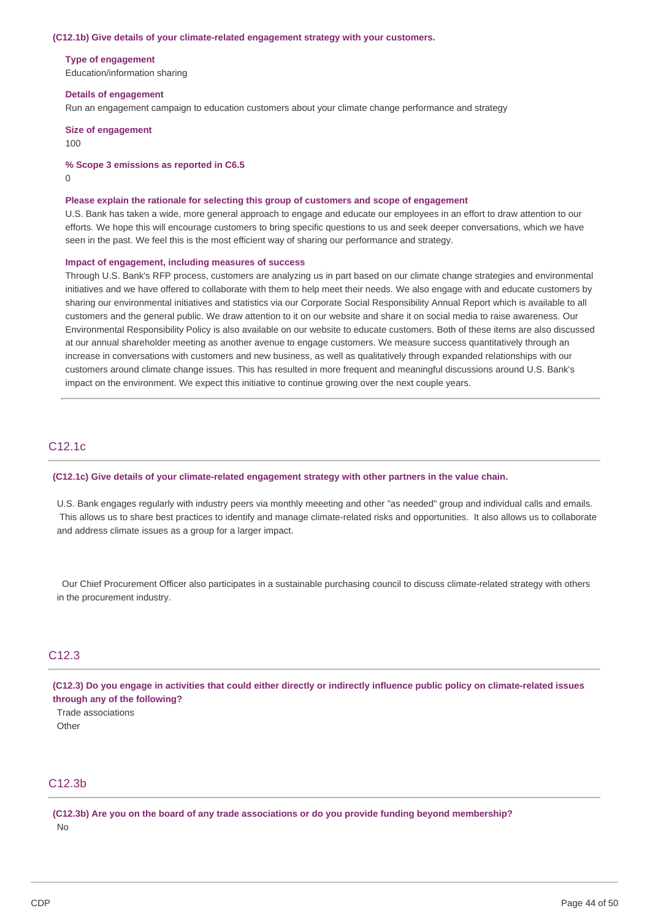#### **(C12.1b) Give details of your climate-related engagement strategy with your customers.**

#### **Type of engagement**

Education/information sharing

#### **Details of engagement**

Run an engagement campaign to education customers about your climate change performance and strategy

 **Size of engagement** 100

#### **% Scope 3 emissions as reported in C6.5**

0

#### **Please explain the rationale for selecting this group of customers and scope of engagement**

 U.S. Bank has taken a wide, more general approach to engage and educate our employees in an effort to draw attention to our efforts. We hope this will encourage customers to bring specific questions to us and seek deeper conversations, which we have seen in the past. We feel this is the most efficient way of sharing our performance and strategy.

#### **Impact of engagement, including measures of success**

 Through U.S. Bank's RFP process, customers are analyzing us in part based on our climate change strategies and environmental initiatives and we have offered to collaborate with them to help meet their needs. We also engage with and educate customers by sharing our environmental initiatives and statistics via our Corporate Social Responsibility Annual Report which is available to all customers and the general public. We draw attention to it on our website and share it on social media to raise awareness. Our Environmental Responsibility Policy is also available on our website to educate customers. Both of these items are also discussed at our annual shareholder meeting as another avenue to engage customers. We measure success quantitatively through an increase in conversations with customers and new business, as well as qualitatively through expanded relationships with our customers around climate change issues. This has resulted in more frequent and meaningful discussions around U.S. Bank's impact on the environment. We expect this initiative to continue growing over the next couple years.

# C12.1c

#### **(C12.1c) Give details of your climate-related engagement strategy with other partners in the value chain.**

 U.S. Bank engages regularly with industry peers via monthly meeeting and other "as needed" group and individual calls and emails. This allows us to share best practices to identify and manage climate-related risks and opportunities. It also allows us to collaborate and address climate issues as a group for a larger impact.

 in the procurement industry. Our Chief Procurement Officer also participates in a sustainable purchasing council to discuss climate-related strategy with others

### C12.3

(C12.3) Do you engage in activities that could either directly or indirectly influence public policy on climate-related issues  **through any of the following?**

Trade associations **Other** 

# C12.3b

(C12.3b) Are you on the board of any trade associations or do you provide funding beyond membership? No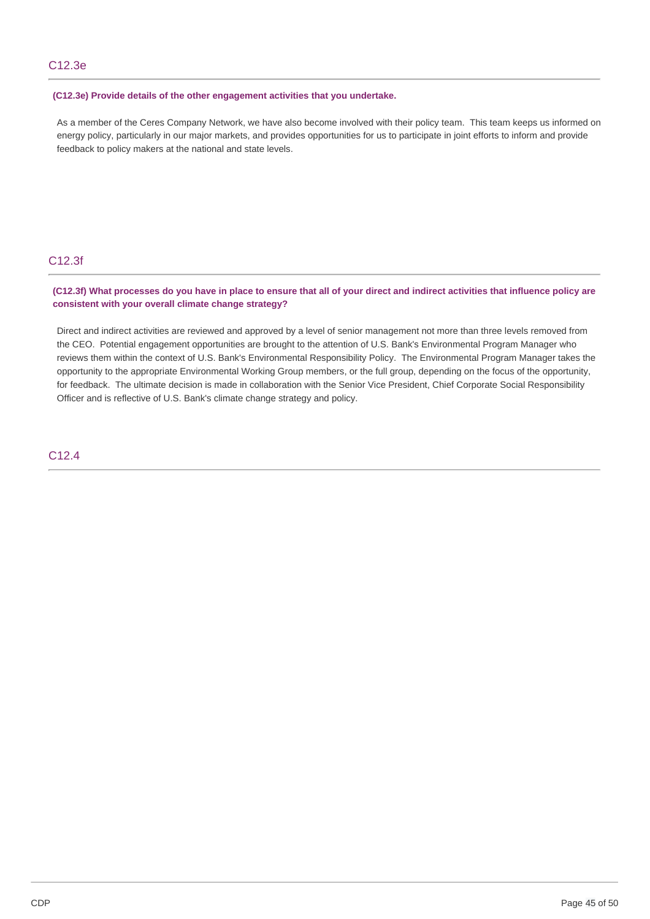### **(C12.3e) Provide details of the other engagement activities that you undertake.**

 As a member of the Ceres Company Network, we have also become involved with their policy team. This team keeps us informed on energy policy, particularly in our major markets, and provides opportunities for us to participate in joint efforts to inform and provide feedback to policy makers at the national and state levels.

# C12.3f

### (C12.3f) What processes do you have in place to ensure that all of your direct and indirect activities that influence policy are  **consistent with your overall climate change strategy?**

 Direct and indirect activities are reviewed and approved by a level of senior management not more than three levels removed from the CEO. Potential engagement opportunities are brought to the attention of U.S. Bank's Environmental Program Manager who reviews them within the context of U.S. Bank's Environmental Responsibility Policy. The Environmental Program Manager takes the opportunity to the appropriate Environmental Working Group members, or the full group, depending on the focus of the opportunity, for feedback. The ultimate decision is made in collaboration with the Senior Vice President, Chief Corporate Social Responsibility Officer and is reflective of U.S. Bank's climate change strategy and policy.

## C12.4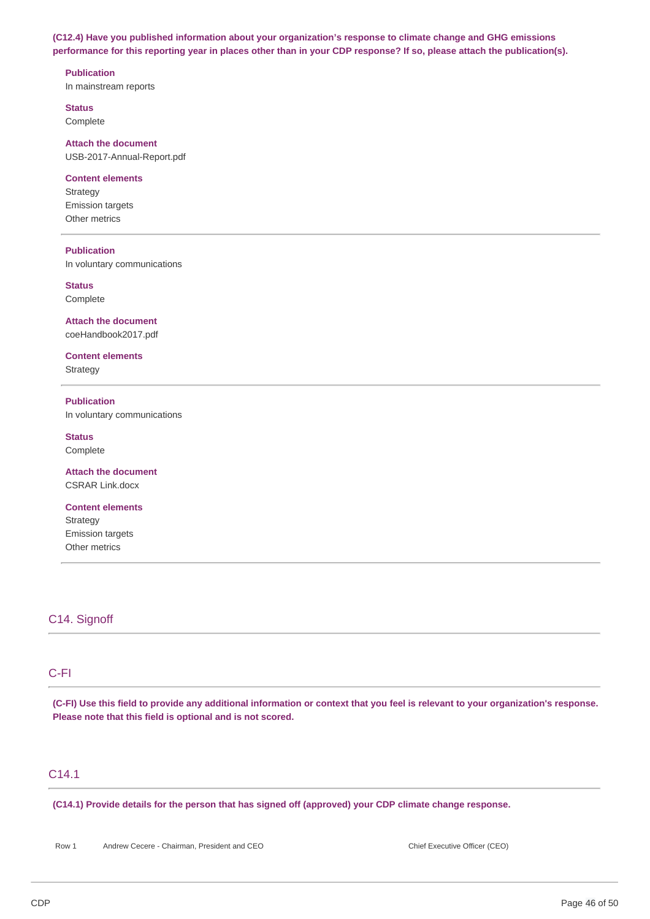**(C12.4) Have you published information about your organization's response to climate change and GHG emissions** performance for this reporting year in places other than in your CDP response? If so, please attach the publication(s).

### **Publication**

In mainstream reports

**Status**

Complete

### **Attach the document**

USB-2017-Annual-Report.pdf

### **Content elements**

**Strategy** Emission targets Other metrics

### **Publication**

In voluntary communications

**Status** Complete

 **Attach the document** coeHandbook2017.pdf

**Content elements Strategy** 

 In voluntary communications **Publication**

**Status** Complete

 **Attach the document** CSRAR Link.docx

**Content elements Strategy** Emission targets Other metrics

# C14. Signoff

# C-FI

(C-FI) Use this field to provide any additional information or context that you feel is relevant to your organization's response.  **Please note that this field is optional and is not scored.**

# C14.1

 **(C14.1) Provide details for the person that has signed off (approved) your CDP climate change response.**

Row 1 Andrew Cecere - Chairman, President and CEO Chief Executive Officer (CEO)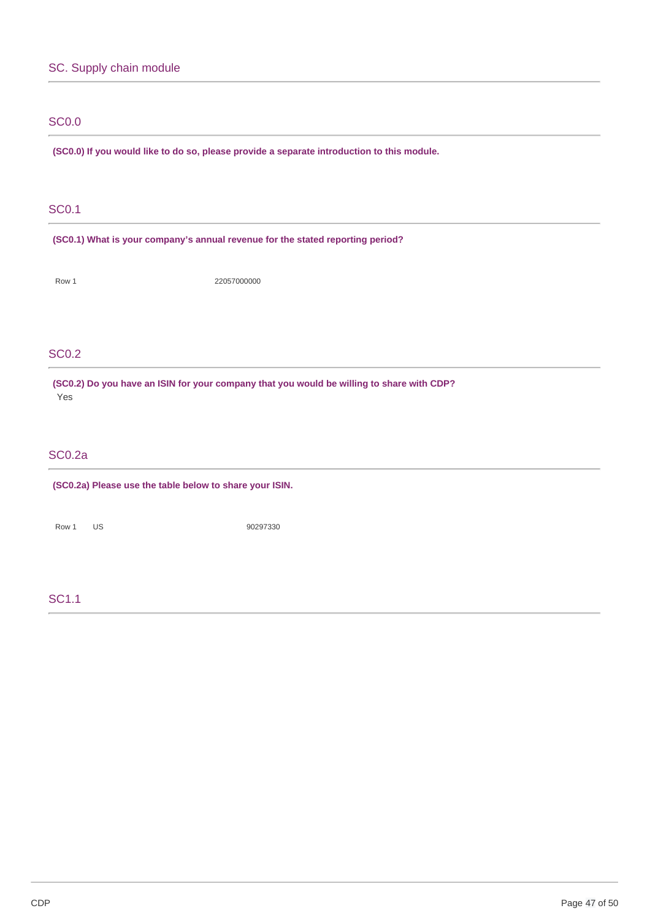# SC. Supply chain module

# SC0.0

 **(SC0.0) If you would like to do so, please provide a separate introduction to this module.**

# SC0.1

 **(SC0.1) What is your company's annual revenue for the stated reporting period?**

Row 1 22057000000

# SC0.2

 **(SC0.2) Do you have an ISIN for your company that you would be willing to share with CDP?** Yes

# SC0.2a

 **(SC0.2a) Please use the table below to share your ISIN.**

Row 1 US 90297330

# SC1.1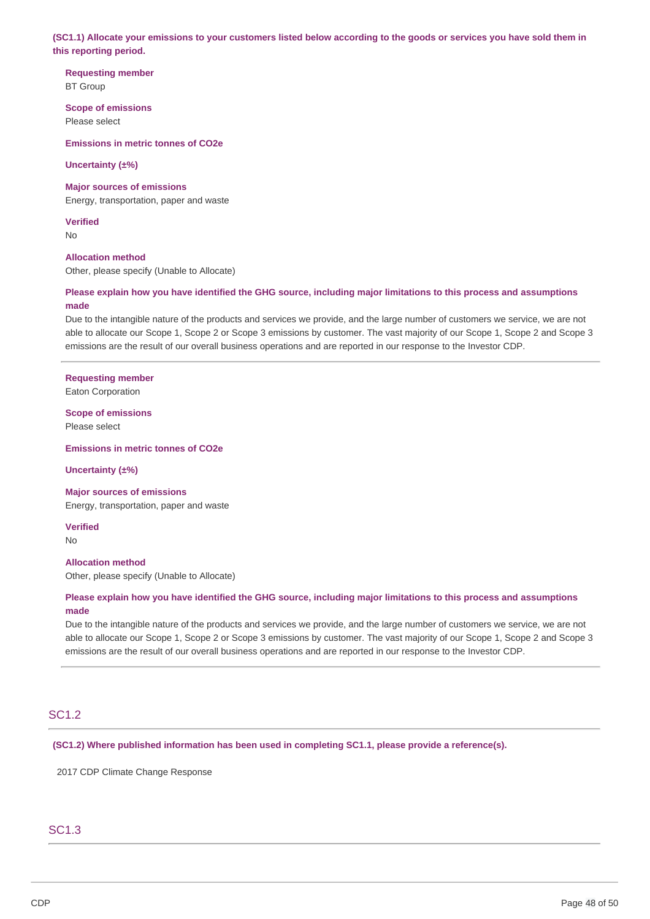(SC1.1) Allocate your emissions to your customers listed below according to the goods or services you have sold them in  **this reporting period.**

**Requesting member** BT Group

 **Scope of emissions**

Please select

 **Emissions in metric tonnes of CO2e**

**Uncertainty (±%)**

 **Major sources of emissions**

Energy, transportation, paper and waste

**Verified**

No

**Allocation method**

Other, please specify (Unable to Allocate)

### Please explain how you have identified the GHG source, including major limitations to this process and assumptions **made**

 Due to the intangible nature of the products and services we provide, and the large number of customers we service, we are not able to allocate our Scope 1, Scope 2 or Scope 3 emissions by customer. The vast majority of our Scope 1, Scope 2 and Scope 3 emissions are the result of our overall business operations and are reported in our response to the Investor CDP.

# **Requesting member**

Eaton Corporation

 **Scope of emissions**

Please select

 **Emissions in metric tonnes of CO2e**

**Uncertainty (±%)**

#### **Major sources of emissions**

Energy, transportation, paper and waste

**Verified**

No

### **Allocation method**

Other, please specify (Unable to Allocate)

### Please explain how you have identified the GHG source, including major limitations to this process and assumptions **made**

 Due to the intangible nature of the products and services we provide, and the large number of customers we service, we are not able to allocate our Scope 1, Scope 2 or Scope 3 emissions by customer. The vast majority of our Scope 1, Scope 2 and Scope 3 emissions are the result of our overall business operations and are reported in our response to the Investor CDP.

# SC1.2

 **(SC1.2) Where published information has been used in completing SC1.1, please provide a reference(s).**

2017 CDP Climate Change Response

# SC1.3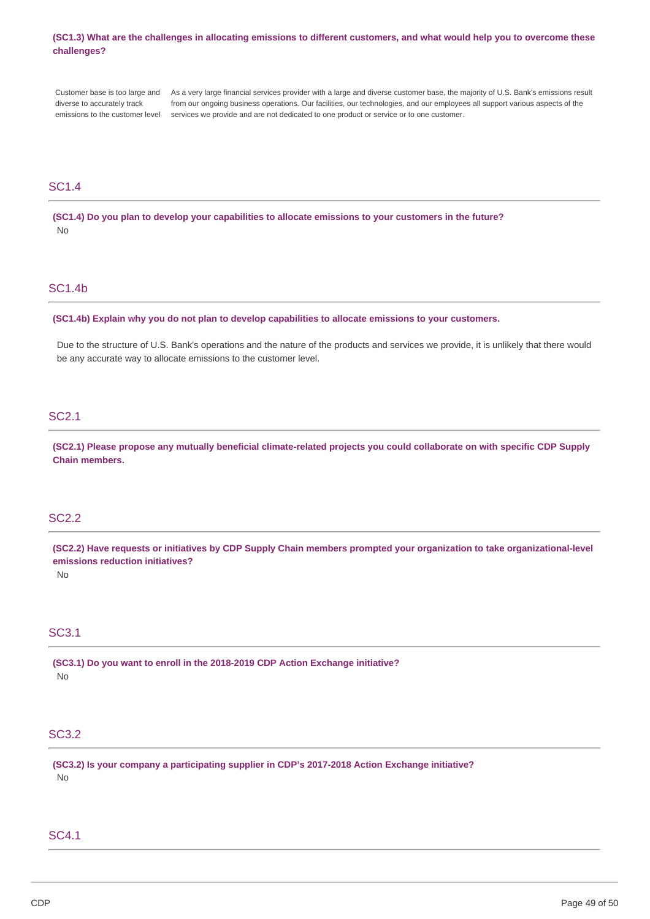### (SC1.3) What are the challenges in allocating emissions to different customers, and what would help you to overcome these **challenges?**

Customer hase is too large and diverse to accurately track emissions to the customer level services we provide and are not dedicated to one product or service or to one customer. Customer base is too large and As a very large financial services provider with a large and diverse customer base, the majority of U.S. Bank's emissions result diverse to accurately track from our ongoing business operations. Our facilities, our technologies, and our employees all support various aspects of the

## SC1.4

(SC1.4) Do you plan to develop your capabilities to allocate emissions to your customers in the future? No

### SC1.4b

 **(SC1.4b) Explain why you do not plan to develop capabilities to allocate emissions to your customers.**

 Due to the structure of U.S. Bank's operations and the nature of the products and services we provide, it is unlikely that there would be any accurate way to allocate emissions to the customer level.

### SC2.1

(SC2.1) Please propose any mutually beneficial climate-related projects you could collaborate on with specific CDP Supply **Chain members.**

## SC2.2

(SC2.2) Have requests or initiatives by CDP Supply Chain members prompted your organization to take organizational-level  **emissions reduction initiatives?**

No

# SC3.1

 **(SC3.1) Do you want to enroll in the 2018-2019 CDP Action Exchange initiative?** No

# SC3.2

 **(SC3.2) Is your company a participating supplier in CDP's 2017-2018 Action Exchange initiative?** No

#### SC4.1